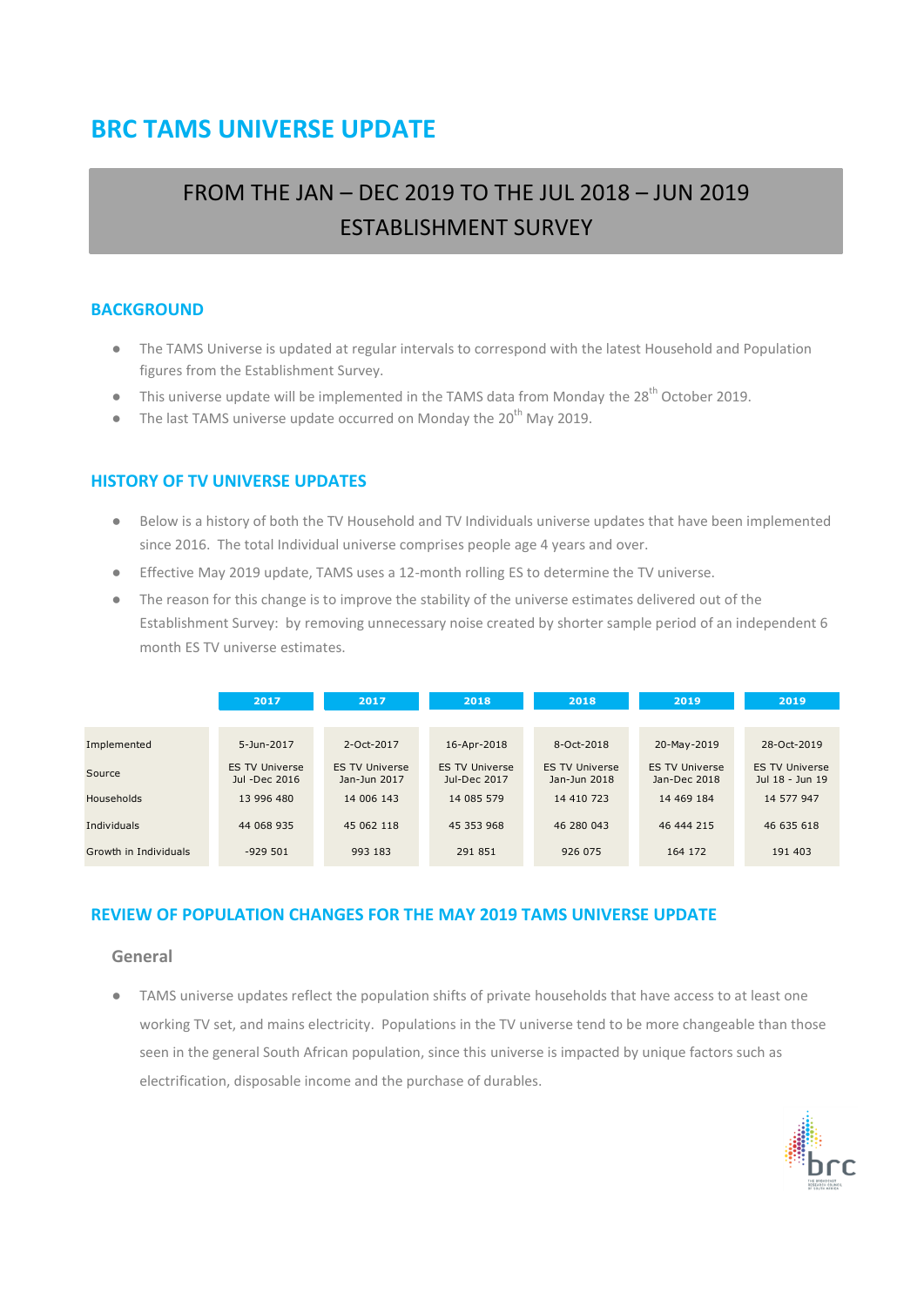# **BRC TAMS UNIVERSE UPDATE**

# FROM THE JAN – DEC 2019 TO THE JUL 2018 – JUN 2019 ESTABLISHMENT SURVEY

### **BACKGROUND**

- The TAMS Universe is updated at regular intervals to correspond with the latest Household and Population figures from the Establishment Survey.
- This universe update will be implemented in the TAMS data from Monday the 28<sup>th</sup> October 2019.
- The last TAMS universe update occurred on Monday the 20<sup>th</sup> May 2019.

### **HISTORY OF TV UNIVERSE UPDATES**

- Below is a history of both the TV Household and TV Individuals universe updates that have been implemented since 2016. The total Individual universe comprises people age 4 years and over.
- Effective May 2019 update, TAMS uses a 12-month rolling ES to determine the TV universe.
- The reason for this change is to improve the stability of the universe estimates delivered out of the Establishment Survey: by removing unnecessary noise created by shorter sample period of an independent 6 month ES TV universe estimates.

|                       | 2017                                   | 2017                                  | 2018                                  | 2018                                  | 2019                                  | 2019                                     |
|-----------------------|----------------------------------------|---------------------------------------|---------------------------------------|---------------------------------------|---------------------------------------|------------------------------------------|
|                       |                                        |                                       |                                       |                                       |                                       |                                          |
| Implemented           | 5-Jun-2017                             | $2-0ct-2017$                          | 16-Apr-2018                           | 8-Oct-2018                            | 20-May-2019                           | 28-Oct-2019                              |
| Source                | <b>ES TV Universe</b><br>Jul -Dec 2016 | <b>ES TV Universe</b><br>Jan-Jun 2017 | <b>ES TV Universe</b><br>Jul-Dec 2017 | <b>ES TV Universe</b><br>Jan-Jun 2018 | <b>ES TV Universe</b><br>Jan-Dec 2018 | <b>ES TV Universe</b><br>Jul 18 - Jun 19 |
| <b>Households</b>     | 13 996 480                             | 14 006 143                            | 14 085 579                            | 14 410 723                            | 14 469 184                            | 14 577 947                               |
| <b>Individuals</b>    | 44 068 935                             | 45 062 118                            | 45 353 968                            | 46 280 043                            | 46 444 215                            | 46 635 618                               |
| Growth in Individuals | $-929501$                              | 993 183                               | 291 851                               | 926 075                               | 164 172                               | 191 403                                  |

### **REVIEW OF POPULATION CHANGES FOR THE MAY 2019 TAMS UNIVERSE UPDATE**

#### **General**

● TAMS universe updates reflect the population shifts of private households that have access to at least one working TV set, and mains electricity. Populations in the TV universe tend to be more changeable than those seen in the general South African population, since this universe is impacted by unique factors such as electrification, disposable income and the purchase of durables.

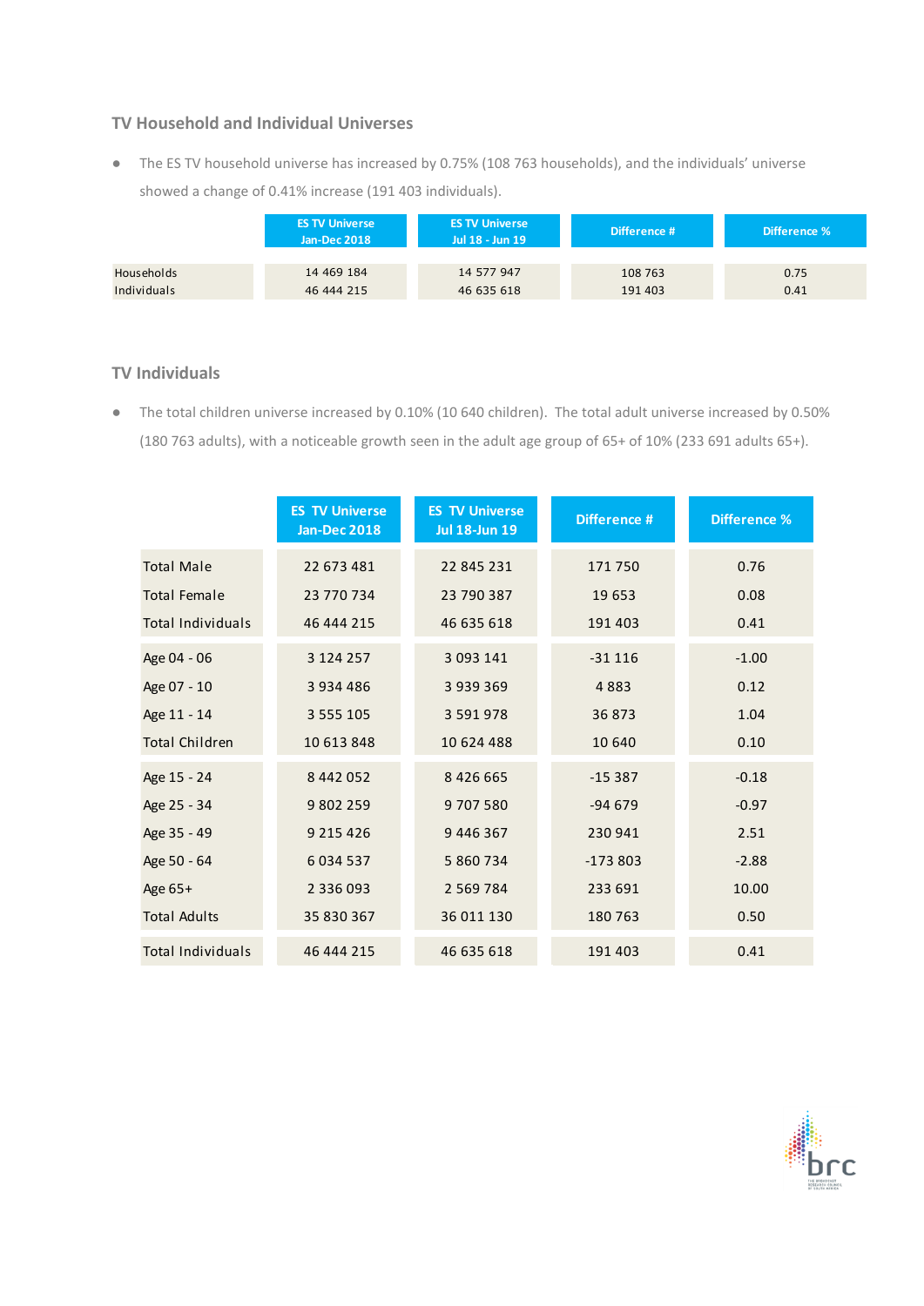### **TV Household and Individual Universes**

● The ES TV household universe has increased by 0.75% (108 763 households), and the individuals' universe showed a change of 0.41% increase (191 403 individuals).

|                   | <b>ES TV Universe</b><br><b>ES TV Universe</b><br>Jan-Dec 2018<br>Jul 18 - Jun 19 |            | Difference # | Difference % |  |
|-------------------|-----------------------------------------------------------------------------------|------------|--------------|--------------|--|
| <b>Households</b> | 14 469 184                                                                        | 14 577 947 | 108 763      | 0.75         |  |
| Individuals       | 46 444 215                                                                        | 46 635 618 | 191 403      | 0.41         |  |

### **TV Individuals**

● The total children universe increased by 0.10% (10 640 children). The total adult universe increased by 0.50% (180 763 adults), with a noticeable growth seen in the adult age group of 65+ of 10% (233 691 adults 65+).

|                          | <b>ES TV Universe</b><br><b>Jan-Dec 2018</b> | <b>ES TV Universe</b><br><b>Jul 18-Jun 19</b> | Difference # | <b>Difference %</b> |
|--------------------------|----------------------------------------------|-----------------------------------------------|--------------|---------------------|
| <b>Total Male</b>        | 22 673 481                                   | 22 845 231                                    | 171750       | 0.76                |
| <b>Total Female</b>      | 23 770 734                                   | 23 790 387                                    | 19653        | 0.08                |
| <b>Total Individuals</b> | 46 444 215                                   | 46 635 618                                    | 191 403      | 0.41                |
| Age 04 - 06              | 3 124 257                                    | 3 093 141                                     | $-31116$     | $-1.00$             |
| Age 07 - 10              | 3 9 3 4 4 8 6                                | 3939369                                       | 4883         | 0.12                |
| Age 11 - 14              | 3 5 5 5 1 0 5                                | 3 5 9 1 9 7 8                                 | 36873        | 1.04                |
| <b>Total Children</b>    | 10 613 848                                   | 10 624 488                                    | 10 640       | 0.10                |
| Age 15 - 24              | 8 442 052                                    | 8 4 2 6 6 6 5                                 | $-15387$     | $-0.18$             |
| Age 25 - 34              | 9 802 259                                    | 9707580                                       | $-94679$     | $-0.97$             |
| Age 35 - 49              | 9 2 1 5 4 2 6                                | 9 446 367                                     | 230 941      | 2.51                |
| Age 50 - 64              | 6 0 34 5 37                                  | 5 860 734                                     | $-173803$    | $-2.88$             |
| Age 65+                  | 2 3 3 6 0 9 3                                | 2 5 6 9 7 8 4                                 | 233 691      | 10.00               |
| <b>Total Adults</b>      | 35 830 367                                   | 36 011 130                                    | 180763       | 0.50                |
| <b>Total Individuals</b> | 46 444 215                                   | 46 635 618                                    | 191 403      | 0.41                |

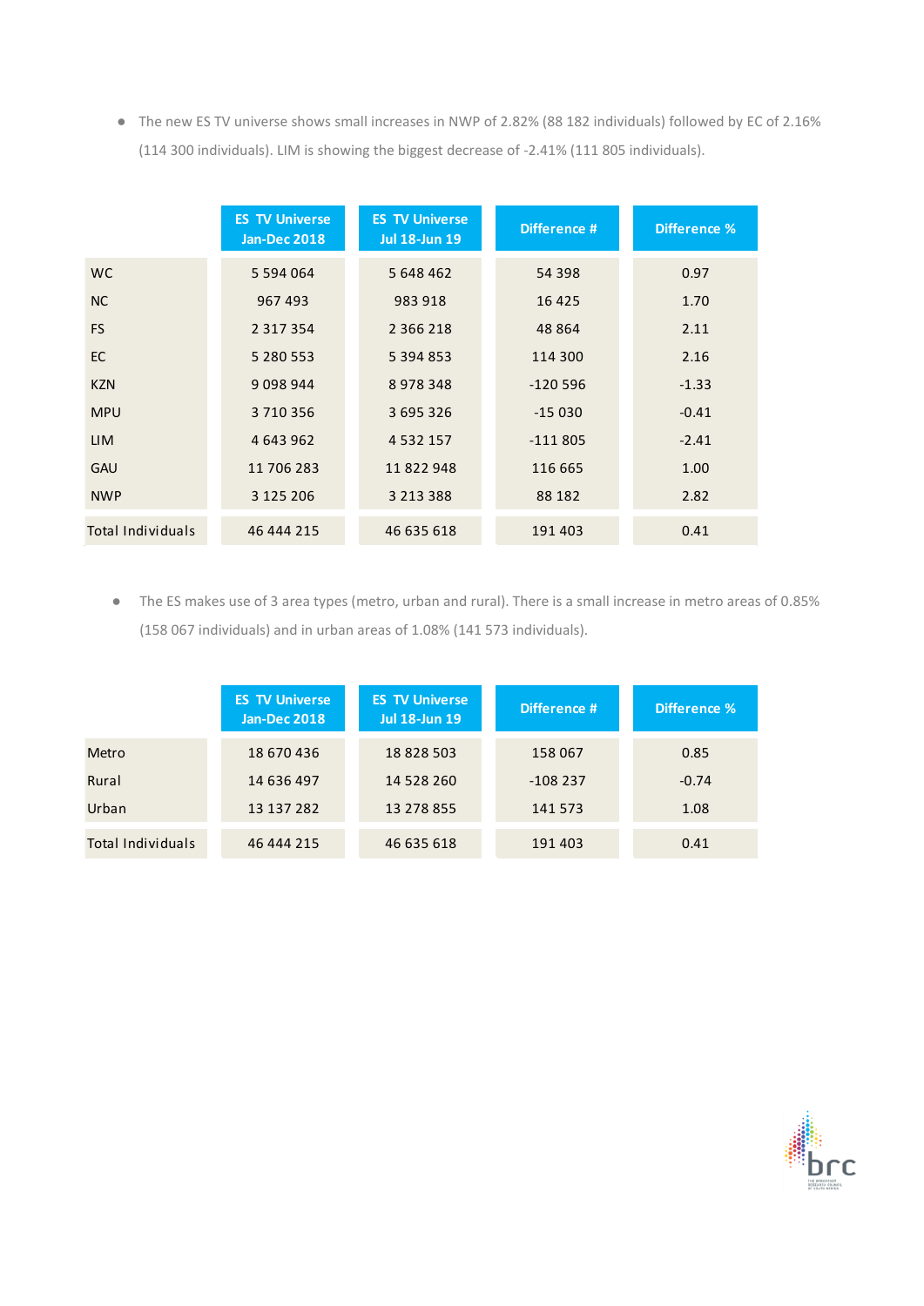● The new ES TV universe shows small increases in NWP of 2.82% (88 182 individuals) followed by EC of 2.16% (114 300 individuals). LIM is showing the biggest decrease of -2.41% (111 805 individuals).

|                          | <b>ES TV Universe</b><br><b>Jan-Dec 2018</b> | <b>ES TV Universe</b><br><b>Jul 18-Jun 19</b> | Difference # | <b>Difference %</b> |
|--------------------------|----------------------------------------------|-----------------------------------------------|--------------|---------------------|
| WC.                      | 5 5 9 4 0 6 4                                | 5 648 462                                     | 54 398       | 0.97                |
| <b>NC</b>                | 967493                                       | 983 918                                       | 16 4 25      | 1.70                |
| <b>FS</b>                | 2 3 1 7 3 5 4                                | 2 3 6 6 2 1 8                                 | 48 8 64      | 2.11                |
| <b>EC</b>                | 5 280 553                                    | 5 3 9 4 8 5 3                                 | 114 300      | 2.16                |
| <b>KZN</b>               | 9 0 9 8 9 4 4                                | 8978348                                       | $-120596$    | $-1.33$             |
| <b>MPU</b>               | 3710356                                      | 3 695 326                                     | $-15030$     | $-0.41$             |
| <b>LIM</b>               | 4 643 962                                    | 4 5 3 2 1 5 7                                 | $-111805$    | $-2.41$             |
| <b>GAU</b>               | 11 706 283                                   | 11822948                                      | 116 665      | 1.00                |
| <b>NWP</b>               | 3 125 206                                    | 3 2 1 3 3 8 8                                 | 88 182       | 2.82                |
| <b>Total Individuals</b> | 46 444 215                                   | 46 635 618                                    | 191 403      | 0.41                |

● The ES makes use of 3 area types (metro, urban and rural). There is a small increase in metro areas of 0.85% (158 067 individuals) and in urban areas of 1.08% (141 573 individuals).

|                          | <b>ES TV Universe</b><br><b>Jan-Dec 2018</b> | <b>ES TV Universe</b><br><b>Jul 18-Jun 19</b> | Difference # | Difference % |
|--------------------------|----------------------------------------------|-----------------------------------------------|--------------|--------------|
| Metro                    | 18 670 436                                   | 18 828 503                                    | 158 067      | 0.85         |
| Rural                    | 14 636 497                                   | 14 528 260                                    | $-108237$    | $-0.74$      |
| Urban                    | 13 137 282                                   | 13 278 855                                    | 141 573      | 1.08         |
| <b>Total Individuals</b> | 46 444 215                                   | 46 635 618                                    | 191 403      | 0.41         |

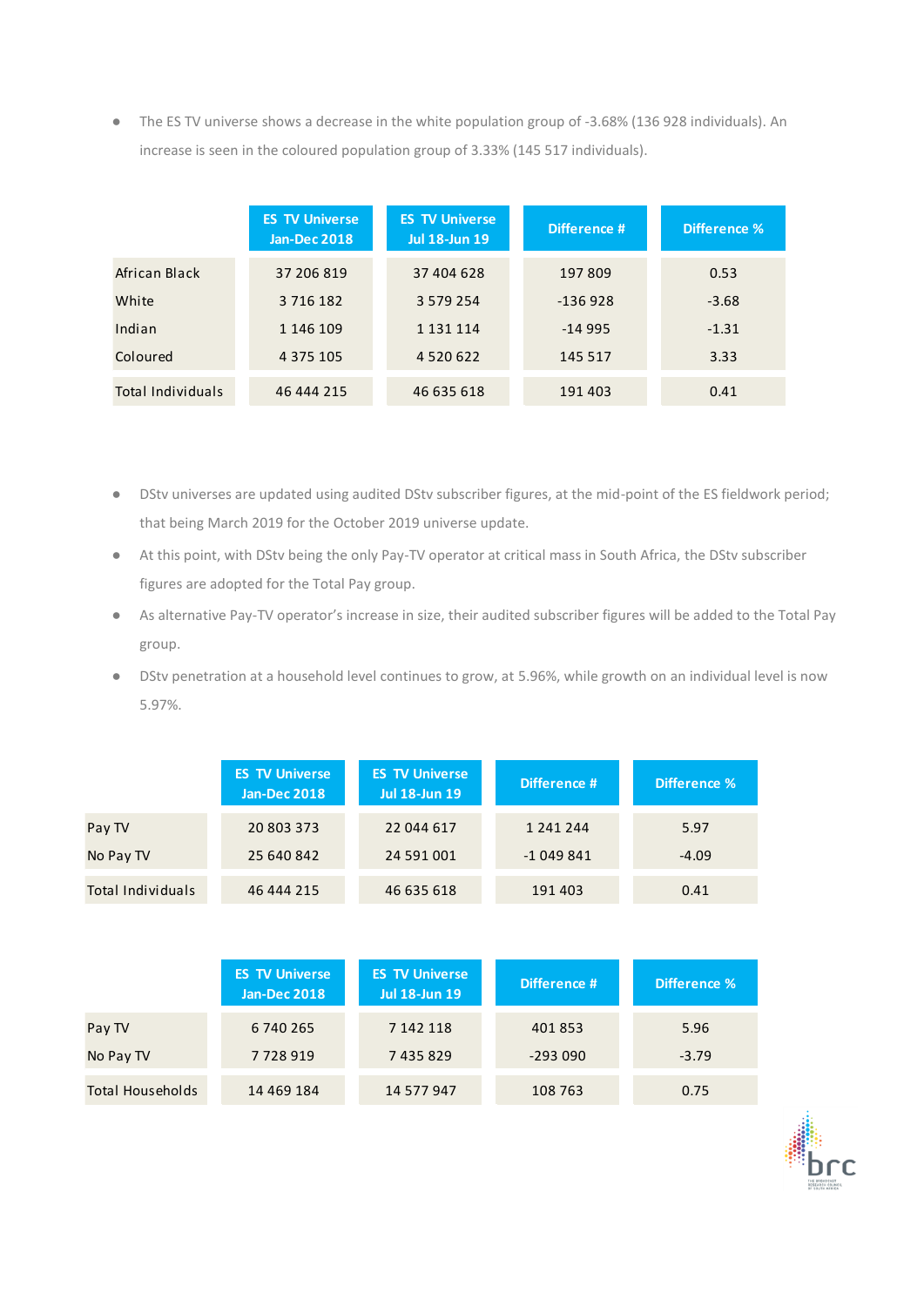● The ES TV universe shows a decrease in the white population group of -3.68% (136 928 individuals). An increase is seen in the coloured population group of 3.33% (145 517 individuals).

|                   | <b>ES TV Universe</b><br><b>Jan-Dec 2018</b> | <b>ES TV Universe</b><br><b>Jul 18-Jun 19</b> | Difference # | Difference % |  |
|-------------------|----------------------------------------------|-----------------------------------------------|--------------|--------------|--|
| African Black     | 37 206 819                                   | 37 404 628                                    | 197 809      | 0.53         |  |
| White             | 3 7 1 6 1 8 2                                | 3 579 254                                     | $-136928$    | $-3.68$      |  |
| Indian            | 1 146 109                                    | 1 1 3 1 1 1 1 4                               | $-14995$     | $-1.31$      |  |
| Coloured          | 4 3 7 5 1 0 5                                | 4 5 2 0 6 2 2                                 | 145 517      | 3.33         |  |
| Total Individuals | 46 444 215                                   | 46 635 618                                    | 191 403      | 0.41         |  |

- DStv universes are updated using audited DStv subscriber figures, at the mid-point of the ES fieldwork period; that being March 2019 for the October 2019 universe update.
- At this point, with DStv being the only Pay-TV operator at critical mass in South Africa, the DStv subscriber figures are adopted for the Total Pay group.
- As alternative Pay-TV operator's increase in size, their audited subscriber figures will be added to the Total Pay group.
- DStv penetration at a household level continues to grow, at 5.96%, while growth on an individual level is now 5.97%.

|                          | <b>ES TV Universe</b><br><b>Jan-Dec 2018</b> | <b>ES TV Universe</b><br><b>Jul 18-Jun 19</b> | Difference # | Difference % |
|--------------------------|----------------------------------------------|-----------------------------------------------|--------------|--------------|
| Pay TV                   | 20 803 373                                   | 22 044 617                                    | 1 241 244    | 5.97         |
| No Pay TV                | 25 640 842                                   | 24 591 001                                    | $-1049841$   | $-4.09$      |
| <b>Total Individuals</b> | 46 444 215                                   | 46 635 618                                    | 191 403      | 0.41         |

|                         | <b>ES TV Universe</b><br><b>Jan-Dec 2018</b> | <b>ES TV Universe</b><br><b>Jul 18-Jun 19</b> |           | Difference % |  |
|-------------------------|----------------------------------------------|-----------------------------------------------|-----------|--------------|--|
| Pay TV                  | 6 740 265                                    | 7 142 118                                     | 401853    | 5.96         |  |
| No Pay TV               | 7728919                                      | 7435829                                       | $-293090$ | $-3.79$      |  |
| <b>Total Households</b> | 14 469 184                                   | 14 577 947                                    | 108 763   | 0.75         |  |

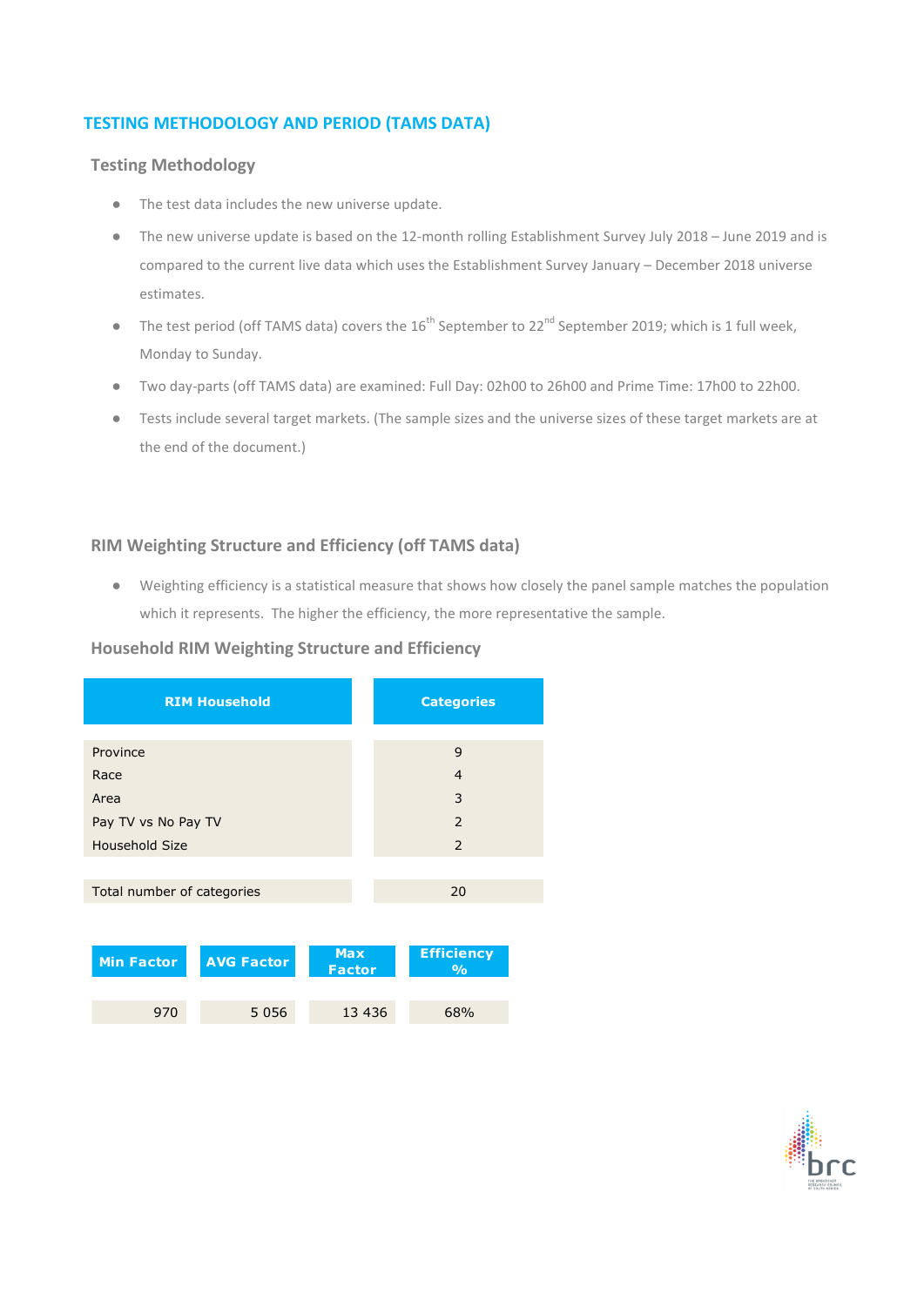### **TESTING METHODOLOGY AND PERIOD (TAMS DATA)**

### **Testing Methodology**

- The test data includes the new universe update.
- The new universe update is based on the 12-month rolling Establishment Survey July 2018 June 2019 and is compared to the current live data which uses the Establishment Survey January – December 2018 universe estimates.
- The test period (off TAMS data) covers the 16<sup>th</sup> September to 22<sup>nd</sup> September 2019; which is 1 full week, Monday to Sunday.
- Two day-parts (off TAMS data) are examined: Full Day: 02h00 to 26h00 and Prime Time: 17h00 to 22h00.
- Tests include several target markets. (The sample sizes and the universe sizes of these target markets are at the end of the document.)

### **RIM Weighting Structure and Efficiency (off TAMS data)**

● Weighting efficiency is a statistical measure that shows how closely the panel sample matches the population which it represents. The higher the efficiency, the more representative the sample.

### **Household RIM Weighting Structure and Efficiency**

|                            | <b>RIM Household</b> |                             | <b>Categories</b>                  |  |  |
|----------------------------|----------------------|-----------------------------|------------------------------------|--|--|
|                            |                      |                             |                                    |  |  |
| Province                   |                      |                             | 9                                  |  |  |
| Race                       | $\overline{4}$       |                             |                                    |  |  |
| Area                       | 3                    |                             |                                    |  |  |
| Pay TV vs No Pay TV        |                      |                             | 2                                  |  |  |
| <b>Household Size</b>      |                      |                             | 2                                  |  |  |
|                            |                      |                             |                                    |  |  |
| Total number of categories |                      |                             | 20                                 |  |  |
|                            |                      |                             |                                    |  |  |
| <b>Min Factor</b>          | <b>AVG Factor</b>    | <b>Max</b><br><b>Factor</b> | <b>Efficiency</b><br>$\frac{0}{0}$ |  |  |
| 970                        | 5 0 5 6              | 13 4 36                     | 68%                                |  |  |

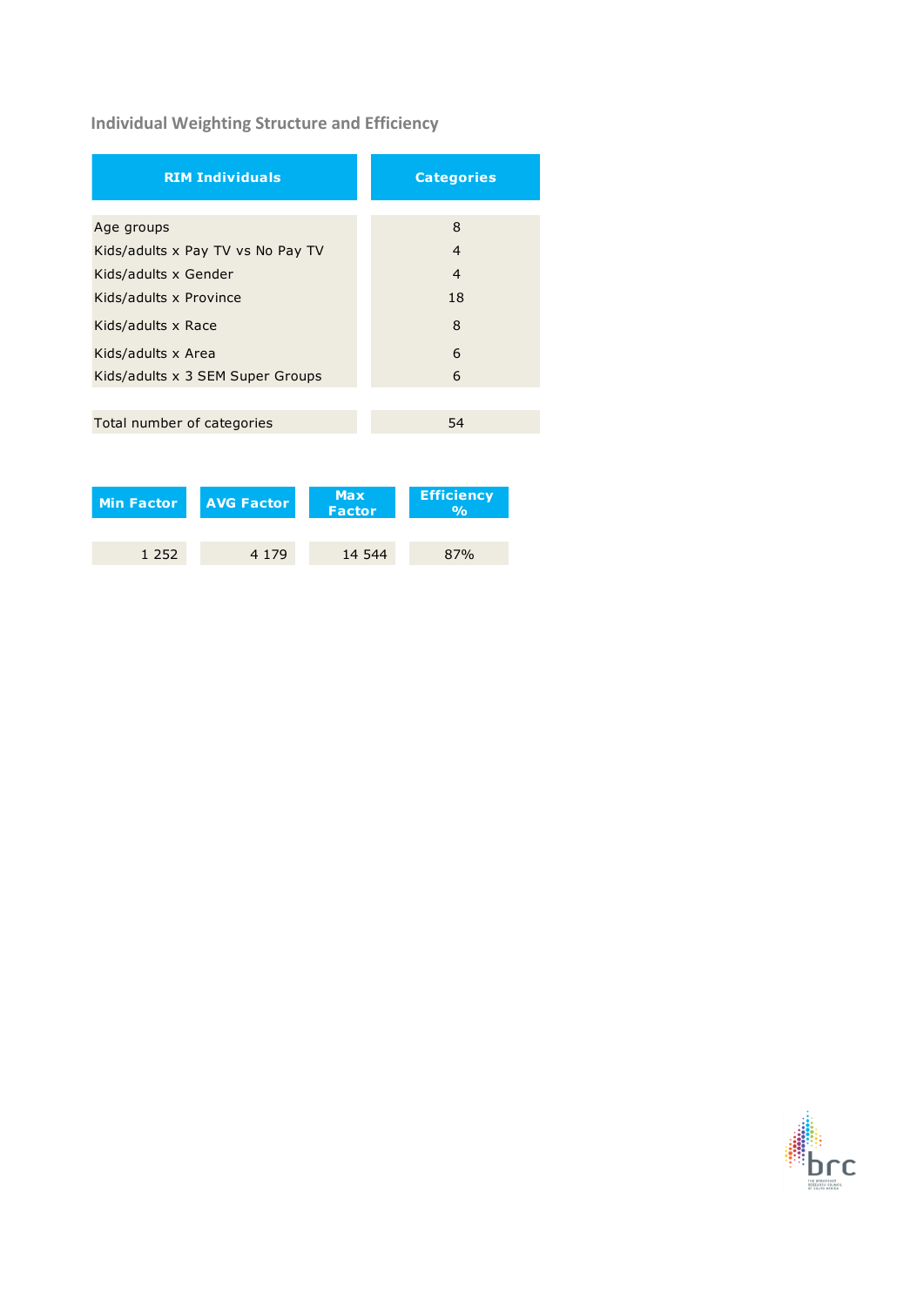# **Individual Weighting Structure and Efficiency**

| <b>RIM Individuals</b>            | <b>Categories</b> |
|-----------------------------------|-------------------|
|                                   | 8                 |
| Age groups                        |                   |
| Kids/adults x Pay TV vs No Pay TV | $\overline{4}$    |
| Kids/adults x Gender              | $\overline{4}$    |
| Kids/adults x Province            | 18                |
| Kids/adults x Race                | 8                 |
| Kids/adults x Area                | 6                 |
| Kids/adults x 3 SEM Super Groups  | 6                 |
|                                   |                   |
| Total number of categories        | 54                |

| Min Factor | <b>AVG Factor</b> | <b>Max</b><br><b>Factor</b> | <b>Efficiency</b> |  |
|------------|-------------------|-----------------------------|-------------------|--|
|            |                   |                             |                   |  |
| 1 2 5 2    | 4 1 7 9           | 14 544                      | 87%               |  |

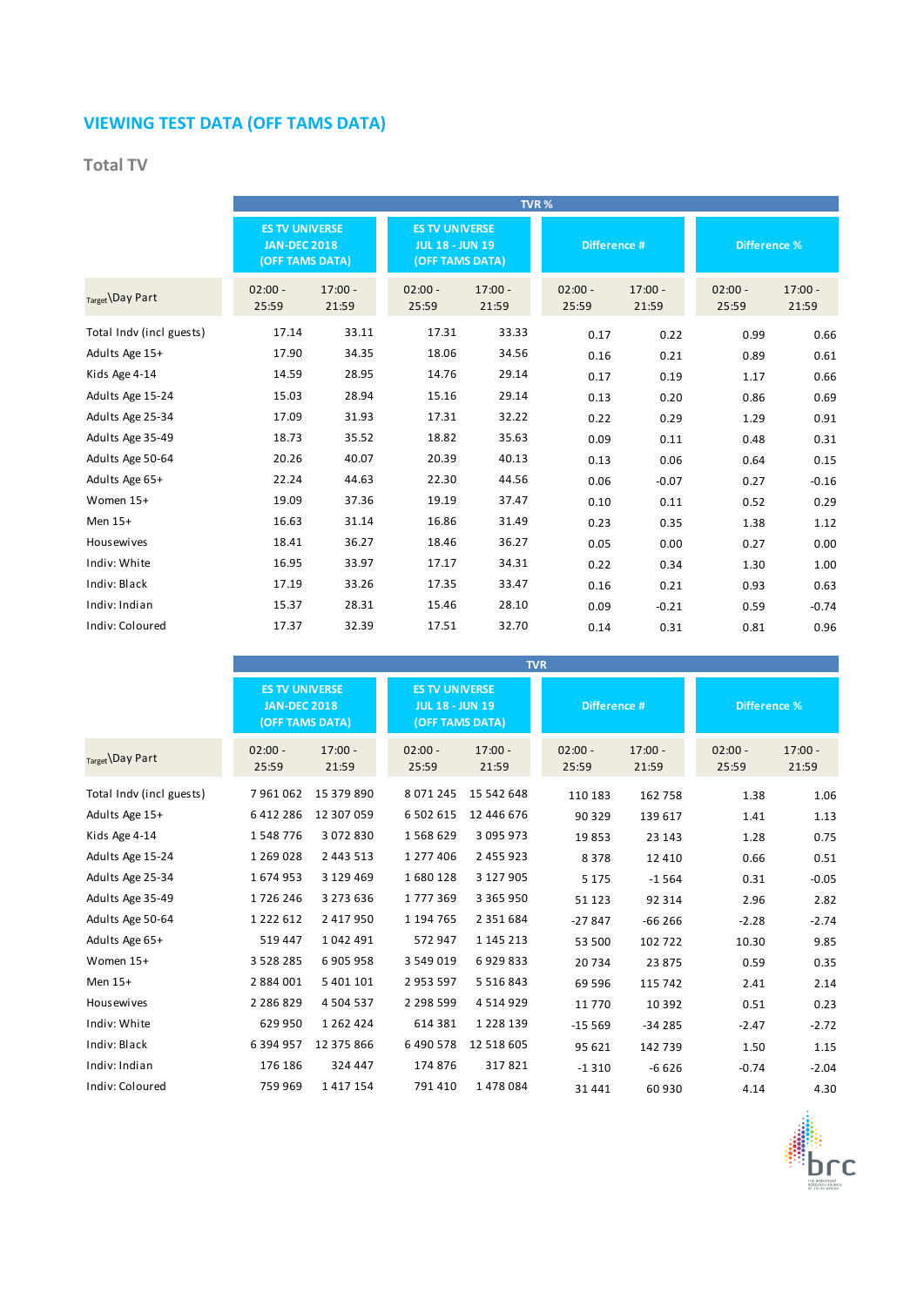# **VIEWING TEST DATA (OFF TAMS DATA)**

### **Total TV**

|                          | TVR%                                                            |                    |                                                                    |                    |                    |                    |                     |                    |
|--------------------------|-----------------------------------------------------------------|--------------------|--------------------------------------------------------------------|--------------------|--------------------|--------------------|---------------------|--------------------|
|                          | <b>ES TV UNIVERSE</b><br><b>JAN-DEC 2018</b><br>(OFF TAMS DATA) |                    | <b>ES TV UNIVERSE</b><br><b>JUL 18 - JUN 19</b><br>(OFF TAMS DATA) |                    | Difference #       |                    | <b>Difference %</b> |                    |
| Target \Day Part         | $02:00 -$<br>25:59                                              | $17:00 -$<br>21:59 | $02:00 -$<br>25:59                                                 | $17:00 -$<br>21:59 | $02:00 -$<br>25:59 | $17:00 -$<br>21:59 | $02:00 -$<br>25:59  | $17:00 -$<br>21:59 |
| Total Indy (incl guests) | 17.14                                                           | 33.11              | 17.31                                                              | 33.33              | 0.17               | 0.22               | 0.99                | 0.66               |
| Adults Age 15+           | 17.90                                                           | 34.35              | 18.06                                                              | 34.56              | 0.16               | 0.21               | 0.89                | $0.61\,$           |
| Kids Age 4-14            | 14.59                                                           | 28.95              | 14.76                                                              | 29.14              | 0.17               | 0.19               | 1.17                | 0.66               |
| Adults Age 15-24         | 15.03                                                           | 28.94              | 15.16                                                              | 29.14              | 0.13               | 0.20               | 0.86                | 0.69               |
| Adults Age 25-34         | 17.09                                                           | 31.93              | 17.31                                                              | 32.22              | 0.22               | 0.29               | 1.29                | 0.91               |
| Adults Age 35-49         | 18.73                                                           | 35.52              | 18.82                                                              | 35.63              | 0.09               | 0.11               | 0.48                | 0.31               |
| Adults Age 50-64         | 20.26                                                           | 40.07              | 20.39                                                              | 40.13              | 0.13               | 0.06               | 0.64                | 0.15               |
| Adults Age 65+           | 22.24                                                           | 44.63              | 22.30                                                              | 44.56              | 0.06               | $-0.07$            | 0.27                | $-0.16$            |
| Women 15+                | 19.09                                                           | 37.36              | 19.19                                                              | 37.47              | 0.10               | 0.11               | 0.52                | 0.29               |
| Men 15+                  | 16.63                                                           | 31.14              | 16.86                                                              | 31.49              | 0.23               | 0.35               | 1.38                | 1.12               |
| <b>Housewives</b>        | 18.41                                                           | 36.27              | 18.46                                                              | 36.27              | 0.05               | 0.00               | 0.27                | 0.00               |
| Indiv: White             | 16.95                                                           | 33.97              | 17.17                                                              | 34.31              | 0.22               | 0.34               | 1.30                | 1.00               |
| Indiv: Black             | 17.19                                                           | 33.26              | 17.35                                                              | 33.47              | 0.16               | 0.21               | 0.93                | 0.63               |
| Indiv: Indian            | 15.37                                                           | 28.31              | 15.46                                                              | 28.10              | 0.09               | $-0.21$            | 0.59                | $-0.74$            |
| Indiv: Coloured          | 17.37                                                           | 32.39              | 17.51                                                              | 32.70              | 0.14               | 0.31               | 0.81                | 0.96               |

|                          |                                                                 |                    |                                                 |                                 | <b>TVR</b>         |                    |                     |                    |
|--------------------------|-----------------------------------------------------------------|--------------------|-------------------------------------------------|---------------------------------|--------------------|--------------------|---------------------|--------------------|
|                          | <b>ES TV UNIVERSE</b><br><b>JAN-DEC 2018</b><br>(OFF TAMS DATA) |                    | <b>ES TV UNIVERSE</b><br><b>JUL 18 - JUN 19</b> | Difference #<br>(OFF TAMS DATA) |                    |                    | <b>Difference %</b> |                    |
| Target Day Part          | $02:00 -$<br>25:59                                              | $17:00 -$<br>21:59 | $02:00 -$<br>25:59                              | $17:00 -$<br>21:59              | $02:00 -$<br>25:59 | $17:00 -$<br>21:59 | $02:00 -$<br>25:59  | $17:00 -$<br>21:59 |
| Total Indv (incl guests) | 7961062                                                         | 15 379 890         | 8 0 7 1 2 4 5                                   | 15 542 648                      | 110 183            | 162 758            | 1.38                | 1.06               |
| Adults Age 15+           | 6412286                                                         | 12 307 059         | 6 502 615                                       | 12 446 676                      | 90 329             | 139 617            | 1.41                | 1.13               |
| Kids Age 4-14            | 1548776                                                         | 3 072 830          | 1568629                                         | 3 095 973                       | 19853              | 23 143             | 1.28                | 0.75               |
| Adults Age 15-24         | 1 269 028                                                       | 2 4 4 3 5 1 3      | 1 277 406                                       | 2 455 923                       | 8378               | 12 4 10            | 0.66                | 0.51               |
| Adults Age 25-34         | 1674953                                                         | 3 129 469          | 1680128                                         | 3 127 905                       | 5 1 7 5            | $-1564$            | 0.31                | $-0.05$            |
| Adults Age 35-49         | 1726246                                                         | 3 273 636          | 1777369                                         | 3 3 6 5 9 5 0                   | 51 123             | 92 314             | 2.96                | 2.82               |
| Adults Age 50-64         | 1 2 2 2 6 1 2                                                   | 2 417 950          | 1 194 765                                       | 2 3 5 1 6 8 4                   | $-27847$           | $-66266$           | $-2.28$             | $-2.74$            |
| Adults Age 65+           | 519 447                                                         | 1042491            | 572 947                                         | 1 145 213                       | 53 500             | 102722             | 10.30               | 9.85               |
| Women 15+                | 3 5 2 8 2 8 5                                                   | 6905958            | 3 549 019                                       | 6929833                         | 20734              | 23 875             | 0.59                | 0.35               |
| Men 15+                  | 2 884 001                                                       | 5 401 101          | 2 953 597                                       | 5 5 1 6 8 4 3                   | 69 59 6            | 115 742            | 2.41                | 2.14               |
| <b>Housewives</b>        | 2 2 8 6 8 2 9                                                   | 4 5 0 4 5 3 7      | 2 2 9 8 5 9 9                                   | 4 5 1 4 9 2 9                   | 11 770             | 10 3 9 2           | 0.51                | 0.23               |
| Indiv: White             | 629 950                                                         | 1 2 6 2 4 2 4      | 614 381                                         | 1 2 2 8 1 3 9                   | $-15569$           | $-34285$           | $-2.47$             | $-2.72$            |
| Indiv: Black             | 6 394 957                                                       | 12 375 866         | 6 490 578                                       | 12 518 605                      | 95 621             | 142 739            | 1.50                | 1.15               |
| Indiv: Indian            | 176 186                                                         | 324 447            | 174 876                                         | 317821                          | $-1310$            | $-6626$            | $-0.74$             | $-2.04$            |
| Indiv: Coloured          | 759 969                                                         | 1417154            | 791 410                                         | 1478084                         | 31 441             | 60 930             | 4.14                | 4.30               |

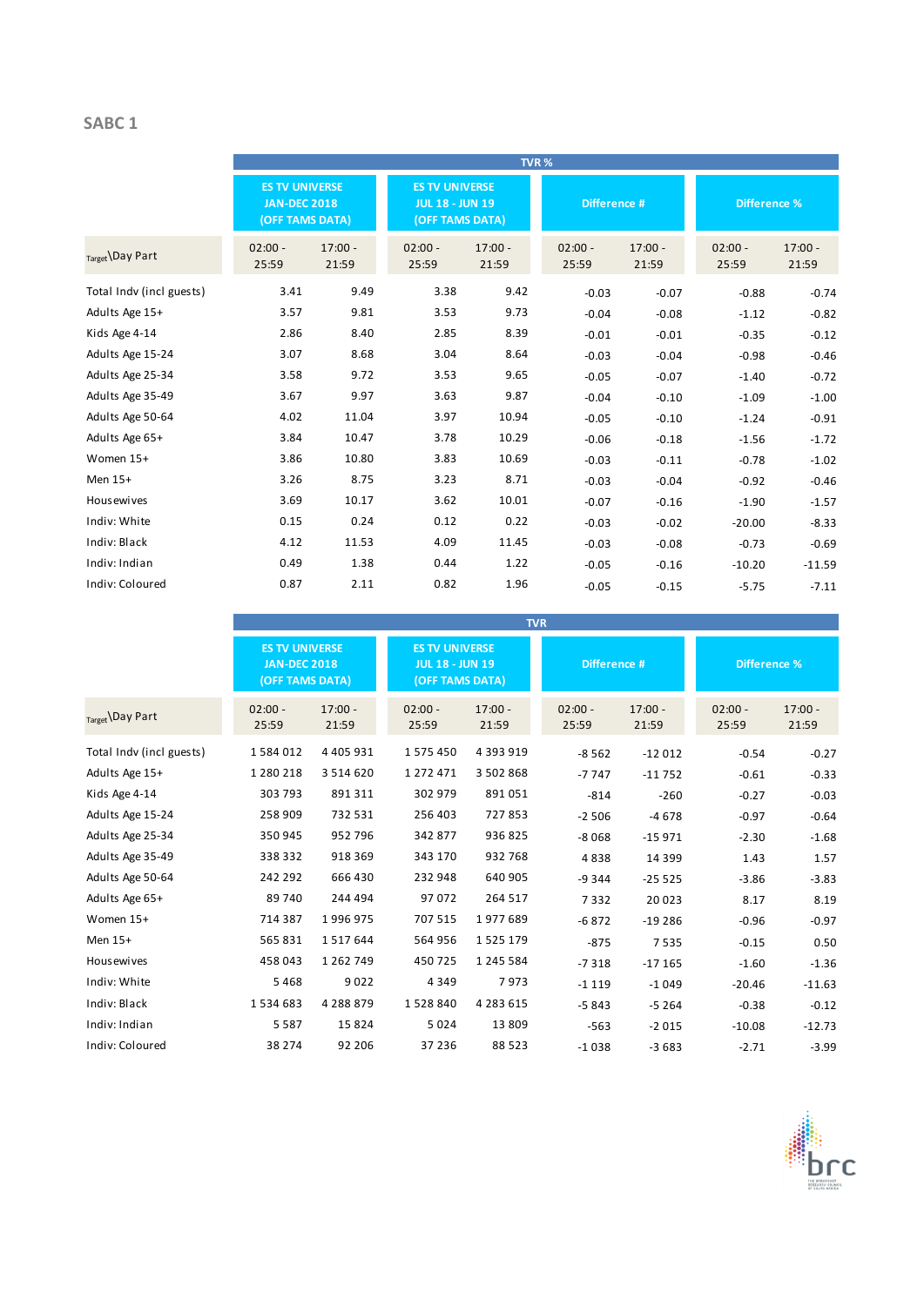### **SABC 1**

|                          |                                                                 |                    |                                                                    |                    | TVR%               |                    |                     |                    |
|--------------------------|-----------------------------------------------------------------|--------------------|--------------------------------------------------------------------|--------------------|--------------------|--------------------|---------------------|--------------------|
|                          | <b>ES TV UNIVERSE</b><br><b>JAN-DEC 2018</b><br>(OFF TAMS DATA) |                    | <b>ES TV UNIVERSE</b><br><b>JUL 18 - JUN 19</b><br>(OFF TAMS DATA) |                    | Difference #       |                    | <b>Difference %</b> |                    |
| Target \Day Part         | $02:00 -$<br>25:59                                              | $17:00 -$<br>21:59 | $02:00 -$<br>25:59                                                 | $17:00 -$<br>21:59 | $02:00 -$<br>25:59 | $17:00 -$<br>21:59 | $02:00 -$<br>25:59  | $17:00 -$<br>21:59 |
| Total Indv (incl guests) | 3.41                                                            | 9.49               | 3.38                                                               | 9.42               | $-0.03$            | $-0.07$            | $-0.88$             | $-0.74$            |
| Adults Age 15+           | 3.57                                                            | 9.81               | 3.53                                                               | 9.73               | $-0.04$            | $-0.08$            | $-1.12$             | $-0.82$            |
| Kids Age 4-14            | 2.86                                                            | 8.40               | 2.85                                                               | 8.39               | $-0.01$            | $-0.01$            | $-0.35$             | $-0.12$            |
| Adults Age 15-24         | 3.07                                                            | 8.68               | 3.04                                                               | 8.64               | $-0.03$            | $-0.04$            | $-0.98$             | $-0.46$            |
| Adults Age 25-34         | 3.58                                                            | 9.72               | 3.53                                                               | 9.65               | $-0.05$            | $-0.07$            | $-1.40$             | $-0.72$            |
| Adults Age 35-49         | 3.67                                                            | 9.97               | 3.63                                                               | 9.87               | $-0.04$            | $-0.10$            | $-1.09$             | $-1.00$            |
| Adults Age 50-64         | 4.02                                                            | 11.04              | 3.97                                                               | 10.94              | $-0.05$            | $-0.10$            | $-1.24$             | $-0.91$            |
| Adults Age 65+           | 3.84                                                            | 10.47              | 3.78                                                               | 10.29              | $-0.06$            | $-0.18$            | $-1.56$             | $-1.72$            |
| Women 15+                | 3.86                                                            | 10.80              | 3.83                                                               | 10.69              | $-0.03$            | $-0.11$            | $-0.78$             | $-1.02$            |
| Men 15+                  | 3.26                                                            | 8.75               | 3.23                                                               | 8.71               | $-0.03$            | $-0.04$            | $-0.92$             | $-0.46$            |
| <b>Housewives</b>        | 3.69                                                            | 10.17              | 3.62                                                               | 10.01              | $-0.07$            | $-0.16$            | $-1.90$             | $-1.57$            |
| Indiv: White             | 0.15                                                            | 0.24               | 0.12                                                               | 0.22               | $-0.03$            | $-0.02$            | $-20.00$            | $-8.33$            |
| Indiv: Black             | 4.12                                                            | 11.53              | 4.09                                                               | 11.45              | $-0.03$            | $-0.08$            | $-0.73$             | $-0.69$            |
| Indiv: Indian            | 0.49                                                            | 1.38               | 0.44                                                               | 1.22               | $-0.05$            | $-0.16$            | $-10.20$            | $-11.59$           |
| Indiv: Coloured          | 0.87                                                            | 2.11               | 0.82                                                               | 1.96               | $-0.05$            | $-0.15$            | $-5.75$             | $-7.11$            |

|                          |                                                                 |                    |                                                                    |                    | <b>TVR</b>         |                    |                     |                    |
|--------------------------|-----------------------------------------------------------------|--------------------|--------------------------------------------------------------------|--------------------|--------------------|--------------------|---------------------|--------------------|
|                          | <b>ES TV UNIVERSE</b><br><b>JAN-DEC 2018</b><br>(OFF TAMS DATA) |                    | <b>ES TV UNIVERSE</b><br><b>JUL 18 - JUN 19</b><br>(OFF TAMS DATA) |                    | Difference #       |                    | <b>Difference %</b> |                    |
| $_{Target}$ Day Part     | $02:00 -$<br>25:59                                              | $17:00 -$<br>21:59 | $02:00 -$<br>25:59                                                 | $17:00 -$<br>21:59 | $02:00 -$<br>25:59 | $17:00 -$<br>21:59 | $02:00 -$<br>25:59  | $17:00 -$<br>21:59 |
| Total Indv (incl guests) | 1584012                                                         | 4 4 0 5 9 3 1      | 1575450                                                            | 4 3 9 3 9 1 9      | $-8562$            | $-12012$           | $-0.54$             | $-0.27$            |
| Adults Age 15+           | 1 280 218                                                       | 3 5 1 4 6 2 0      | 1 272 471                                                          | 3 502 868          | $-7747$            | $-11752$           | $-0.61$             | $-0.33$            |
| Kids Age 4-14            | 303 793                                                         | 891 311            | 302 979                                                            | 891051             | $-814$             | $-260$             | $-0.27$             | $-0.03$            |
| Adults Age 15-24         | 258 909                                                         | 732 531            | 256 403                                                            | 727853             | $-2506$            | $-4678$            | $-0.97$             | $-0.64$            |
| Adults Age 25-34         | 350 945                                                         | 952 796            | 342 877                                                            | 936 825            | $-8068$            | $-15971$           | $-2.30$             | $-1.68$            |
| Adults Age 35-49         | 338 332                                                         | 918 369            | 343 170                                                            | 932 768            | 4838               | 14 3 9 9           | 1.43                | 1.57               |
| Adults Age 50-64         | 242 292                                                         | 666 430            | 232 948                                                            | 640 905            | $-9344$            | $-25525$           | $-3.86$             | $-3.83$            |
| Adults Age 65+           | 89 740                                                          | 244 494            | 97072                                                              | 264 517            | 7332               | 20 0 23            | 8.17                | 8.19               |
| Women 15+                | 714 387                                                         | 1996975            | 707 515                                                            | 1977689            | $-6872$            | $-19286$           | $-0.96$             | $-0.97$            |
| Men 15+                  | 565 831                                                         | 1517644            | 564 956                                                            | 1 5 2 5 1 7 9      | $-875$             | 7535               | $-0.15$             | 0.50               |
| <b>Housewives</b>        | 458 043                                                         | 1 2 6 2 7 4 9      | 450725                                                             | 1 245 584          | $-7318$            | $-17165$           | $-1.60$             | $-1.36$            |
| Indiv: White             | 5468                                                            | 9022               | 4 3 4 9                                                            | 7973               | $-1119$            | $-1049$            | $-20.46$            | $-11.63$           |
| Indiv: Black             | 1534683                                                         | 4 2 8 8 8 7 9      | 1528840                                                            | 4 283 615          | $-5843$            | $-5264$            | $-0.38$             | $-0.12$            |
| Indiv: Indian            | 5 5 8 7                                                         | 15 8 24            | 5024                                                               | 13 809             | $-563$             | $-2015$            | $-10.08$            | $-12.73$           |
| Indiv: Coloured          | 38 274                                                          | 92 206             | 37 236                                                             | 88 5 23            | $-1038$            | $-3683$            | $-2.71$             | $-3.99$            |

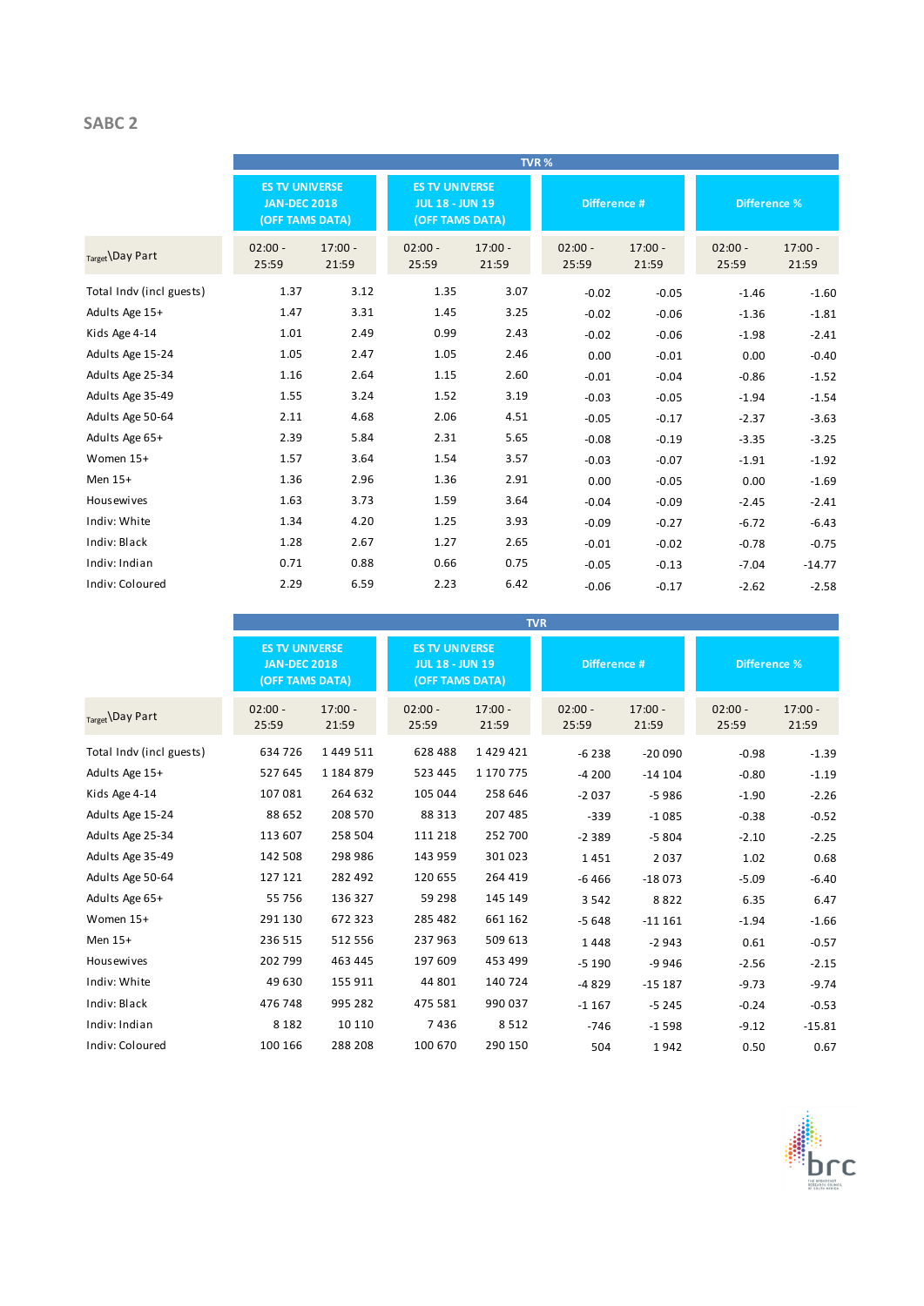### **SABC 2**

|                          |                                                                 |                    |                    |                                                                    | TVR%               |                    |                    |                     |
|--------------------------|-----------------------------------------------------------------|--------------------|--------------------|--------------------------------------------------------------------|--------------------|--------------------|--------------------|---------------------|
|                          | <b>ES TV UNIVERSE</b><br><b>JAN-DEC 2018</b><br>(OFF TAMS DATA) |                    |                    | <b>ES TV UNIVERSE</b><br><b>JUL 18 - JUN 19</b><br>(OFF TAMS DATA) |                    | Difference #       |                    | <b>Difference %</b> |
| Target Day Part          | $02:00 -$<br>25:59                                              | $17:00 -$<br>21:59 | $02:00 -$<br>25:59 | $17:00 -$<br>21:59                                                 | $02:00 -$<br>25:59 | $17:00 -$<br>21:59 | $02:00 -$<br>25:59 | $17:00 -$<br>21:59  |
| Total Indv (incl guests) | 1.37                                                            | 3.12               | 1.35               | 3.07                                                               | $-0.02$            | $-0.05$            | $-1.46$            | $-1.60$             |
| Adults Age 15+           | 1.47                                                            | 3.31               | 1.45               | 3.25                                                               | $-0.02$            | $-0.06$            | $-1.36$            | $-1.81$             |
| Kids Age 4-14            | 1.01                                                            | 2.49               | 0.99               | 2.43                                                               | $-0.02$            | $-0.06$            | $-1.98$            | $-2.41$             |
| Adults Age 15-24         | 1.05                                                            | 2.47               | 1.05               | 2.46                                                               | 0.00               | $-0.01$            | 0.00               | $-0.40$             |
| Adults Age 25-34         | 1.16                                                            | 2.64               | 1.15               | 2.60                                                               | $-0.01$            | $-0.04$            | $-0.86$            | $-1.52$             |
| Adults Age 35-49         | 1.55                                                            | 3.24               | 1.52               | 3.19                                                               | $-0.03$            | $-0.05$            | $-1.94$            | $-1.54$             |
| Adults Age 50-64         | 2.11                                                            | 4.68               | 2.06               | 4.51                                                               | $-0.05$            | $-0.17$            | $-2.37$            | $-3.63$             |
| Adults Age 65+           | 2.39                                                            | 5.84               | 2.31               | 5.65                                                               | $-0.08$            | $-0.19$            | $-3.35$            | $-3.25$             |
| Women 15+                | 1.57                                                            | 3.64               | 1.54               | 3.57                                                               | $-0.03$            | $-0.07$            | $-1.91$            | $-1.92$             |
| Men 15+                  | 1.36                                                            | 2.96               | 1.36               | 2.91                                                               | 0.00               | $-0.05$            | 0.00               | $-1.69$             |
| <b>Housewives</b>        | 1.63                                                            | 3.73               | 1.59               | 3.64                                                               | $-0.04$            | $-0.09$            | $-2.45$            | $-2.41$             |
| Indiv: White             | 1.34                                                            | 4.20               | 1.25               | 3.93                                                               | $-0.09$            | $-0.27$            | $-6.72$            | $-6.43$             |
| Indiv: Black             | 1.28                                                            | 2.67               | 1.27               | 2.65                                                               | $-0.01$            | $-0.02$            | $-0.78$            | $-0.75$             |
| Indiv: Indian            | 0.71                                                            | 0.88               | 0.66               | 0.75                                                               | $-0.05$            | $-0.13$            | $-7.04$            | $-14.77$            |
| Indiv: Coloured          | 2.29                                                            | 6.59               | 2.23               | 6.42                                                               | $-0.06$            | $-0.17$            | $-2.62$            | $-2.58$             |

|                          |                                                                 |                    |                                                                                    |                    | <b>TVR</b>         |                     |                    |                    |
|--------------------------|-----------------------------------------------------------------|--------------------|------------------------------------------------------------------------------------|--------------------|--------------------|---------------------|--------------------|--------------------|
|                          | <b>ES TV UNIVERSE</b><br><b>JAN-DEC 2018</b><br>(OFF TAMS DATA) |                    | <b>ES TV UNIVERSE</b><br>Difference #<br><b>JUL 18 - JUN 19</b><br>(OFF TAMS DATA) |                    |                    | <b>Difference %</b> |                    |                    |
| Target Day Part          | $02:00 -$<br>25:59                                              | $17:00 -$<br>21:59 | $02:00 -$<br>25:59                                                                 | $17:00 -$<br>21:59 | $02:00 -$<br>25:59 | $17:00 -$<br>21:59  | $02:00 -$<br>25:59 | $17:00 -$<br>21:59 |
| Total Indy (incl guests) | 634 726                                                         | 1 4 4 9 5 1 1      | 628 488                                                                            | 1429421            | $-6238$            | $-20090$            | $-0.98$            | $-1.39$            |
| Adults Age 15+           | 527 645                                                         | 1 184 879          | 523 445                                                                            | 1 170 775          | $-4200$            | $-14104$            | $-0.80$            | $-1.19$            |
| Kids Age 4-14            | 107 081                                                         | 264 632            | 105 044                                                                            | 258 646            | $-2037$            | $-5986$             | $-1.90$            | $-2.26$            |
| Adults Age 15-24         | 88 652                                                          | 208 570            | 88 313                                                                             | 207 485            | $-339$             | $-1085$             | $-0.38$            | $-0.52$            |
| Adults Age 25-34         | 113 607                                                         | 258 504            | 111 218                                                                            | 252 700            | $-2389$            | $-5804$             | $-2.10$            | $-2.25$            |
| Adults Age 35-49         | 142 508                                                         | 298 986            | 143 959                                                                            | 301 023            | 1451               | 2037                | 1.02               | 0.68               |
| Adults Age 50-64         | 127 121                                                         | 282 492            | 120 655                                                                            | 264 419            | $-6466$            | $-18073$            | $-5.09$            | $-6.40$            |
| Adults Age 65+           | 55 756                                                          | 136 327            | 59 298                                                                             | 145 149            | 3 5 4 2            | 8822                | 6.35               | 6.47               |
| Women 15+                | 291 130                                                         | 672 323            | 285 482                                                                            | 661 162            | $-5648$            | $-11161$            | $-1.94$            | $-1.66$            |
| Men 15+                  | 236 515                                                         | 512 556            | 237963                                                                             | 509 613            | 1448               | $-2943$             | 0.61               | $-0.57$            |
| Housewives               | 202 799                                                         | 463 445            | 197 609                                                                            | 453 499            | $-5190$            | $-9946$             | $-2.56$            | $-2.15$            |
| Indiv: White             | 49 630                                                          | 155 911            | 44 801                                                                             | 140 724            | $-4829$            | $-15187$            | $-9.73$            | $-9.74$            |
| Indiv: Black             | 476 748                                                         | 995 282            | 475 581                                                                            | 990 037            | $-1167$            | $-5245$             | $-0.24$            | $-0.53$            |
| Indiv: Indian            | 8 1 8 2                                                         | 10 110             | 7436                                                                               | 8512               | $-746$             | $-1598$             | $-9.12$            | $-15.81$           |
| Indiv: Coloured          | 100 166                                                         | 288 208            | 100 670                                                                            | 290 150            | 504                | 1942                | 0.50               | 0.67               |

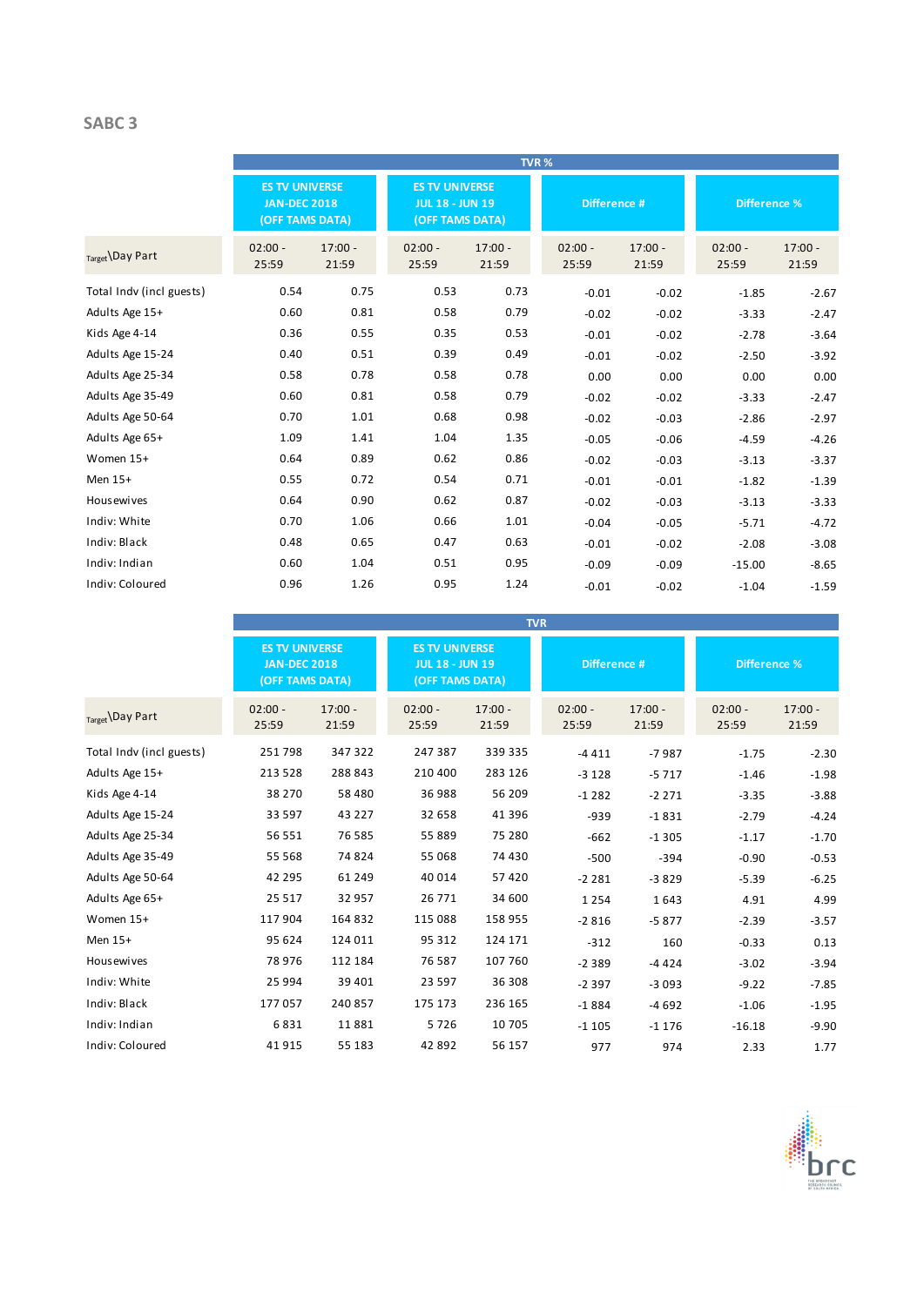### **SABC 3**

|                          |                                                                 |                    |                    |                                                                    | TVR%               |                    |                     |                    |
|--------------------------|-----------------------------------------------------------------|--------------------|--------------------|--------------------------------------------------------------------|--------------------|--------------------|---------------------|--------------------|
|                          | <b>ES TV UNIVERSE</b><br><b>JAN-DEC 2018</b><br>(OFF TAMS DATA) |                    |                    | <b>ES TV UNIVERSE</b><br><b>JUL 18 - JUN 19</b><br>(OFF TAMS DATA) |                    | Difference #       | <b>Difference %</b> |                    |
| Target Day Part          | $02:00 -$<br>25:59                                              | $17:00 -$<br>21:59 | $02:00 -$<br>25:59 | $17:00 -$<br>21:59                                                 | $02:00 -$<br>25:59 | $17:00 -$<br>21:59 | $02:00 -$<br>25:59  | $17:00 -$<br>21:59 |
| Total Indv (incl guests) | 0.54                                                            | 0.75               | 0.53               | 0.73                                                               | $-0.01$            | $-0.02$            | $-1.85$             | $-2.67$            |
| Adults Age 15+           | 0.60                                                            | 0.81               | 0.58               | 0.79                                                               | $-0.02$            | $-0.02$            | $-3.33$             | $-2.47$            |
| Kids Age 4-14            | 0.36                                                            | 0.55               | 0.35               | 0.53                                                               | $-0.01$            | $-0.02$            | $-2.78$             | $-3.64$            |
| Adults Age 15-24         | 0.40                                                            | 0.51               | 0.39               | 0.49                                                               | $-0.01$            | $-0.02$            | $-2.50$             | $-3.92$            |
| Adults Age 25-34         | 0.58                                                            | 0.78               | 0.58               | 0.78                                                               | 0.00               | 0.00               | 0.00                | 0.00               |
| Adults Age 35-49         | 0.60                                                            | 0.81               | 0.58               | 0.79                                                               | $-0.02$            | $-0.02$            | $-3.33$             | $-2.47$            |
| Adults Age 50-64         | 0.70                                                            | 1.01               | 0.68               | 0.98                                                               | $-0.02$            | $-0.03$            | $-2.86$             | $-2.97$            |
| Adults Age 65+           | 1.09                                                            | 1.41               | 1.04               | 1.35                                                               | $-0.05$            | $-0.06$            | $-4.59$             | $-4.26$            |
| Women 15+                | 0.64                                                            | 0.89               | 0.62               | 0.86                                                               | $-0.02$            | $-0.03$            | $-3.13$             | $-3.37$            |
| Men 15+                  | 0.55                                                            | 0.72               | 0.54               | 0.71                                                               | $-0.01$            | $-0.01$            | $-1.82$             | $-1.39$            |
| Housewives               | 0.64                                                            | 0.90               | 0.62               | 0.87                                                               | $-0.02$            | $-0.03$            | $-3.13$             | $-3.33$            |
| Indiv: White             | 0.70                                                            | 1.06               | 0.66               | 1.01                                                               | $-0.04$            | $-0.05$            | $-5.71$             | $-4.72$            |
| Indiv: Black             | 0.48                                                            | 0.65               | 0.47               | 0.63                                                               | $-0.01$            | $-0.02$            | $-2.08$             | $-3.08$            |
| Indiv: Indian            | 0.60                                                            | 1.04               | 0.51               | 0.95                                                               | $-0.09$            | $-0.09$            | $-15.00$            | $-8.65$            |
| Indiv: Coloured          | 0.96                                                            | 1.26               | 0.95               | 1.24                                                               | $-0.01$            | $-0.02$            | $-1.04$             | $-1.59$            |

|                          |                                                                        |                    |                                                                                    |                    | <b>TVR</b>         |                     |                    |                    |
|--------------------------|------------------------------------------------------------------------|--------------------|------------------------------------------------------------------------------------|--------------------|--------------------|---------------------|--------------------|--------------------|
|                          | <b>ES TV UNIVERSE</b><br><b>JAN-DEC 2018</b><br><b>(OFF TAMS DATA)</b> |                    | <b>ES TV UNIVERSE</b><br><b>JUL 18 - JUN 19</b><br>Difference #<br>(OFF TAMS DATA) |                    |                    | <b>Difference %</b> |                    |                    |
| Target \Day Part         | $02:00 -$<br>25:59                                                     | $17:00 -$<br>21:59 | $02:00 -$<br>25:59                                                                 | $17:00 -$<br>21:59 | $02:00 -$<br>25:59 | $17:00 -$<br>21:59  | $02:00 -$<br>25:59 | $17:00 -$<br>21:59 |
| Total Indv (incl guests) | 251798                                                                 | 347 322            | 247 387                                                                            | 339 335            | $-4411$            | $-7987$             | $-1.75$            | $-2.30$            |
| Adults Age 15+           | 213 528                                                                | 288 843            | 210 400                                                                            | 283 126            | $-3128$            | $-5717$             | $-1.46$            | $-1.98$            |
| Kids Age 4-14            | 38 270                                                                 | 58 480             | 36 988                                                                             | 56 209             | $-1282$            | $-2271$             | $-3.35$            | $-3.88$            |
| Adults Age 15-24         | 33 597                                                                 | 43 227             | 32 658                                                                             | 41 396             | $-939$             | $-1831$             | $-2.79$            | $-4.24$            |
| Adults Age 25-34         | 56 551                                                                 | 76 585             | 55 889                                                                             | 75 280             | $-662$             | $-1305$             | $-1.17$            | $-1.70$            |
| Adults Age 35-49         | 55 568                                                                 | 74 824             | 55 068                                                                             | 74 430             | $-500$             | $-394$              | $-0.90$            | $-0.53$            |
| Adults Age 50-64         | 42 295                                                                 | 61 249             | 40 0 14                                                                            | 57 4 20            | $-2281$            | $-3829$             | $-5.39$            | $-6.25$            |
| Adults Age 65+           | 25 5 17                                                                | 32 957             | 26 7 7 1                                                                           | 34 600             | 1 2 5 4            | 1643                | 4.91               | 4.99               |
| Women 15+                | 117 904                                                                | 164 832            | 115 088                                                                            | 158 955            | $-2816$            | $-5877$             | $-2.39$            | $-3.57$            |
| Men 15+                  | 95 624                                                                 | 124 011            | 95 312                                                                             | 124 171            | $-312$             | 160                 | $-0.33$            | 0.13               |
| Housewives               | 78 976                                                                 | 112 184            | 76 587                                                                             | 107 760            | $-2389$            | $-4424$             | $-3.02$            | $-3.94$            |
| Indiv: White             | 25 994                                                                 | 39 401             | 23 5 9 7                                                                           | 36 308             | $-2397$            | $-3093$             | $-9.22$            | $-7.85$            |
| Indiv: Black             | 177057                                                                 | 240 857            | 175 173                                                                            | 236 165            | $-1884$            | $-4692$             | $-1.06$            | $-1.95$            |
| Indiv: Indian            | 6831                                                                   | 11881              | 5726                                                                               | 10 705             | $-1105$            | $-1176$             | $-16.18$           | $-9.90$            |
| Indiv: Coloured          | 41915                                                                  | 55 183             | 42 892                                                                             | 56 157             | 977                | 974                 | 2.33               | 1.77               |

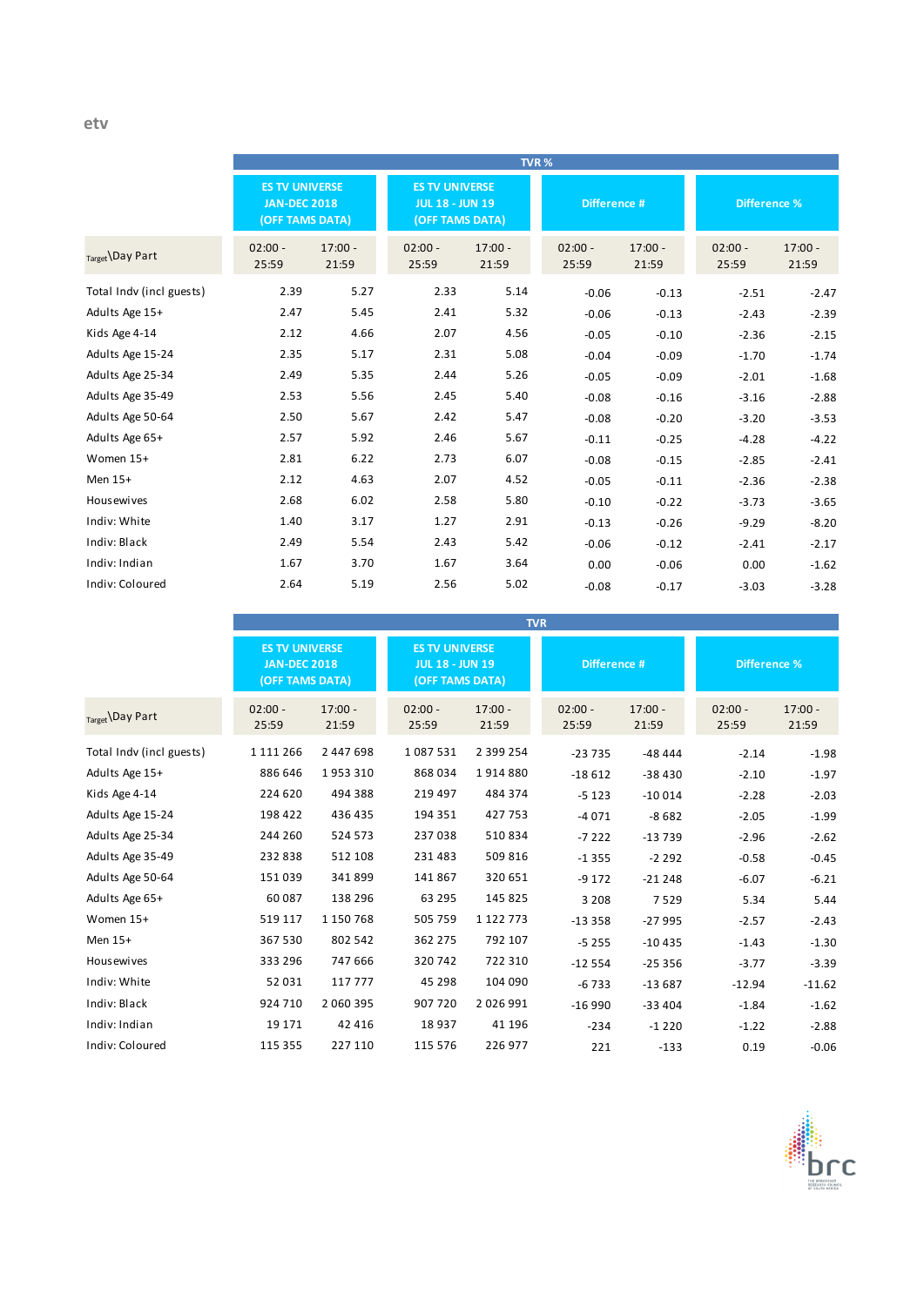|                          |                                                                 |                    |                                                                    |                    | TVR%               |                    |                     |                    |
|--------------------------|-----------------------------------------------------------------|--------------------|--------------------------------------------------------------------|--------------------|--------------------|--------------------|---------------------|--------------------|
|                          | <b>ES TV UNIVERSE</b><br><b>JAN-DEC 2018</b><br>(OFF TAMS DATA) |                    | <b>ES TV UNIVERSE</b><br><b>JUL 18 - JUN 19</b><br>(OFF TAMS DATA) |                    | Difference #       |                    | <b>Difference %</b> |                    |
| $_{Target}$ )Day Part    | $02:00 -$<br>25:59                                              | $17:00 -$<br>21:59 | $02:00 -$<br>25:59                                                 | $17:00 -$<br>21:59 | $02:00 -$<br>25:59 | $17:00 -$<br>21:59 | $02:00 -$<br>25:59  | $17:00 -$<br>21:59 |
| Total Indv (incl guests) | 2.39                                                            | 5.27               | 2.33                                                               | 5.14               | $-0.06$            | $-0.13$            | $-2.51$             | $-2.47$            |
| Adults Age 15+           | 2.47                                                            | 5.45               | 2.41                                                               | 5.32               | $-0.06$            | $-0.13$            | $-2.43$             | $-2.39$            |
| Kids Age 4-14            | 2.12                                                            | 4.66               | 2.07                                                               | 4.56               | $-0.05$            | $-0.10$            | $-2.36$             | $-2.15$            |
| Adults Age 15-24         | 2.35                                                            | 5.17               | 2.31                                                               | 5.08               | $-0.04$            | $-0.09$            | $-1.70$             | $-1.74$            |
| Adults Age 25-34         | 2.49                                                            | 5.35               | 2.44                                                               | 5.26               | $-0.05$            | $-0.09$            | $-2.01$             | $-1.68$            |
| Adults Age 35-49         | 2.53                                                            | 5.56               | 2.45                                                               | 5.40               | $-0.08$            | $-0.16$            | $-3.16$             | $-2.88$            |
| Adults Age 50-64         | 2.50                                                            | 5.67               | 2.42                                                               | 5.47               | $-0.08$            | $-0.20$            | $-3.20$             | $-3.53$            |
| Adults Age 65+           | 2.57                                                            | 5.92               | 2.46                                                               | 5.67               | $-0.11$            | $-0.25$            | $-4.28$             | $-4.22$            |
| Women 15+                | 2.81                                                            | 6.22               | 2.73                                                               | 6.07               | $-0.08$            | $-0.15$            | $-2.85$             | $-2.41$            |
| Men 15+                  | 2.12                                                            | 4.63               | 2.07                                                               | 4.52               | $-0.05$            | $-0.11$            | $-2.36$             | $-2.38$            |
| Housewives               | 2.68                                                            | 6.02               | 2.58                                                               | 5.80               | $-0.10$            | $-0.22$            | $-3.73$             | $-3.65$            |
| Indiv: White             | 1.40                                                            | 3.17               | 1.27                                                               | 2.91               | $-0.13$            | $-0.26$            | $-9.29$             | $-8.20$            |
| Indiv: Black             | 2.49                                                            | 5.54               | 2.43                                                               | 5.42               | $-0.06$            | $-0.12$            | $-2.41$             | $-2.17$            |
| Indiv: Indian            | 1.67                                                            | 3.70               | 1.67                                                               | 3.64               | 0.00               | $-0.06$            | 0.00                | $-1.62$            |
| Indiv: Coloured          | 2.64                                                            | 5.19               | 2.56                                                               | 5.02               | $-0.08$            | $-0.17$            | $-3.03$             | $-3.28$            |

|                          |                                                                 |                    |                                                                    |                    | <b>TVR</b>         |                    |                     |                    |
|--------------------------|-----------------------------------------------------------------|--------------------|--------------------------------------------------------------------|--------------------|--------------------|--------------------|---------------------|--------------------|
|                          | <b>ES TV UNIVERSE</b><br><b>JAN-DEC 2018</b><br>(OFF TAMS DATA) |                    | <b>ES TV UNIVERSE</b><br><b>JUL 18 - JUN 19</b><br>(OFF TAMS DATA) |                    | Difference #       |                    | <b>Difference %</b> |                    |
| Target \Day Part         | $02:00 -$<br>25:59                                              | $17:00 -$<br>21:59 | $02:00 -$<br>25:59                                                 | $17:00 -$<br>21:59 | $02:00 -$<br>25:59 | $17:00 -$<br>21:59 | $02:00 -$<br>25:59  | $17:00 -$<br>21:59 |
| Total Indv (incl guests) | 1 111 266                                                       | 2 447 698          | 1087531                                                            | 2 399 254          | $-23735$           | $-48444$           | $-2.14$             | $-1.98$            |
| Adults Age 15+           | 886 646                                                         | 1953310            | 868034                                                             | 1914880            | $-18612$           | $-38430$           | $-2.10$             | $-1.97$            |
| Kids Age 4-14            | 224 620                                                         | 494 388            | 219 497                                                            | 484 374            | $-5123$            | $-10014$           | $-2.28$             | $-2.03$            |
| Adults Age 15-24         | 198 422                                                         | 436 435            | 194 351                                                            | 427 753            | $-4071$            | $-8682$            | $-2.05$             | $-1.99$            |
| Adults Age 25-34         | 244 260                                                         | 524 573            | 237038                                                             | 510834             | $-7222$            | $-13739$           | $-2.96$             | $-2.62$            |
| Adults Age 35-49         | 232 838                                                         | 512 108            | 231 483                                                            | 509 816            | $-1355$            | $-2292$            | $-0.58$             | $-0.45$            |
| Adults Age 50-64         | 151039                                                          | 341899             | 141867                                                             | 320 651            | $-9172$            | $-21248$           | $-6.07$             | $-6.21$            |
| Adults Age 65+           | 60 087                                                          | 138 296            | 63 295                                                             | 145 825            | 3 2 0 8            | 7529               | 5.34                | 5.44               |
| Women 15+                | 519 117                                                         | 1 150 768          | 505 759                                                            | 1 122 773          | $-13358$           | $-27995$           | $-2.57$             | $-2.43$            |
| Men 15+                  | 367 530                                                         | 802 542            | 362 275                                                            | 792 107            | $-5255$            | $-10435$           | $-1.43$             | $-1.30$            |
| <b>Housewives</b>        | 333 296                                                         | 747 666            | 320742                                                             | 722 310            | $-12554$           | $-25356$           | $-3.77$             | $-3.39$            |
| Indiv: White             | 52 031                                                          | 117 777            | 45 298                                                             | 104 090            | $-6733$            | $-13687$           | $-12.94$            | $-11.62$           |
| Indiv: Black             | 924 710                                                         | 2 060 395          | 907 720                                                            | 2026991            | $-16990$           | $-33404$           | $-1.84$             | $-1.62$            |
| Indiv: Indian            | 19 17 1                                                         | 42 4 16            | 18937                                                              | 41 196             | $-234$             | $-1220$            | $-1.22$             | $-2.88$            |
| Indiv: Coloured          | 115 355                                                         | 227 110            | 115 576                                                            | 226 977            | 221                | $-133$             | 0.19                | $-0.06$            |

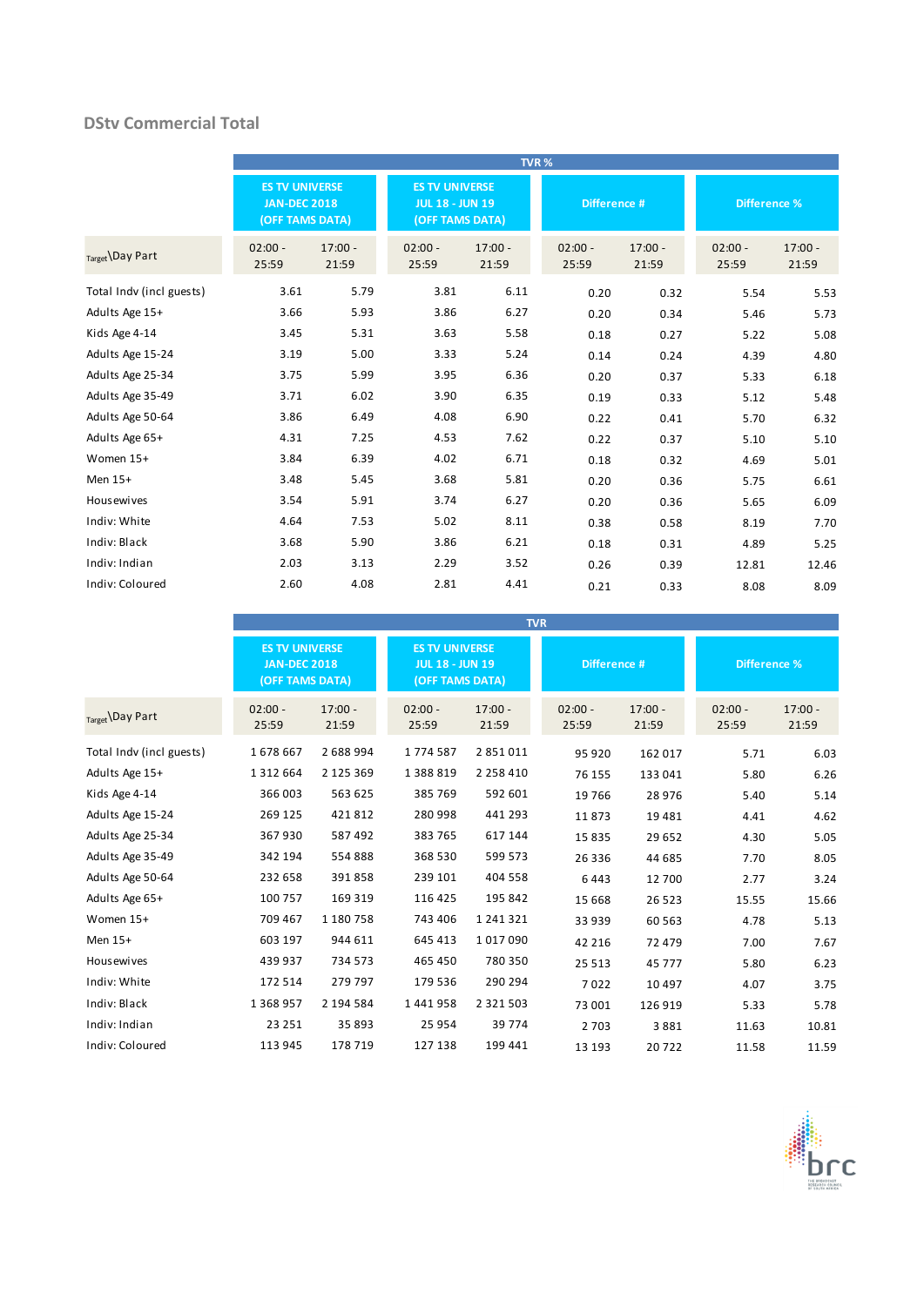### **DStv Commercial Total**

|                          |                                                                 |                    |                                                                    |                    | TVR%               |                    |                     |                    |
|--------------------------|-----------------------------------------------------------------|--------------------|--------------------------------------------------------------------|--------------------|--------------------|--------------------|---------------------|--------------------|
|                          | <b>ES TV UNIVERSE</b><br><b>JAN-DEC 2018</b><br>(OFF TAMS DATA) |                    | <b>ES TV UNIVERSE</b><br><b>JUL 18 - JUN 19</b><br>(OFF TAMS DATA) |                    | Difference #       |                    | <b>Difference %</b> |                    |
| Target Day Part          | $02:00 -$<br>25:59                                              | $17:00 -$<br>21:59 | $02:00 -$<br>25:59                                                 | $17:00 -$<br>21:59 | $02:00 -$<br>25:59 | $17:00 -$<br>21:59 | $02:00 -$<br>25:59  | $17:00 -$<br>21:59 |
| Total Indv (incl guests) | 3.61                                                            | 5.79               | 3.81                                                               | 6.11               | 0.20               | 0.32               | 5.54                | 5.53               |
| Adults Age 15+           | 3.66                                                            | 5.93               | 3.86                                                               | 6.27               | 0.20               | 0.34               | 5.46                | 5.73               |
| Kids Age 4-14            | 3.45                                                            | 5.31               | 3.63                                                               | 5.58               | 0.18               | 0.27               | 5.22                | 5.08               |
| Adults Age 15-24         | 3.19                                                            | 5.00               | 3.33                                                               | 5.24               | 0.14               | 0.24               | 4.39                | 4.80               |
| Adults Age 25-34         | 3.75                                                            | 5.99               | 3.95                                                               | 6.36               | 0.20               | 0.37               | 5.33                | 6.18               |
| Adults Age 35-49         | 3.71                                                            | 6.02               | 3.90                                                               | 6.35               | 0.19               | 0.33               | 5.12                | 5.48               |
| Adults Age 50-64         | 3.86                                                            | 6.49               | 4.08                                                               | 6.90               | 0.22               | 0.41               | 5.70                | 6.32               |
| Adults Age 65+           | 4.31                                                            | 7.25               | 4.53                                                               | 7.62               | 0.22               | 0.37               | 5.10                | 5.10               |
| Women 15+                | 3.84                                                            | 6.39               | 4.02                                                               | 6.71               | 0.18               | 0.32               | 4.69                | 5.01               |
| Men 15+                  | 3.48                                                            | 5.45               | 3.68                                                               | 5.81               | 0.20               | 0.36               | 5.75                | 6.61               |
| <b>Housewives</b>        | 3.54                                                            | 5.91               | 3.74                                                               | 6.27               | 0.20               | 0.36               | 5.65                | 6.09               |
| Indiv: White             | 4.64                                                            | 7.53               | 5.02                                                               | 8.11               | 0.38               | 0.58               | 8.19                | 7.70               |
| Indiv: Black             | 3.68                                                            | 5.90               | 3.86                                                               | 6.21               | 0.18               | 0.31               | 4.89                | 5.25               |
| Indiv: Indian            | 2.03                                                            | 3.13               | 2.29                                                               | 3.52               | 0.26               | 0.39               | 12.81               | 12.46              |
| Indiv: Coloured          | 2.60                                                            | 4.08               | 2.81                                                               | 4.41               | 0.21               | 0.33               | 8.08                | 8.09               |

|                          |                                                                 |                    |                                                                    |                    | <b>TVR</b>         |                    |                     |                    |
|--------------------------|-----------------------------------------------------------------|--------------------|--------------------------------------------------------------------|--------------------|--------------------|--------------------|---------------------|--------------------|
|                          | <b>ES TV UNIVERSE</b><br><b>JAN-DEC 2018</b><br>(OFF TAMS DATA) |                    | <b>ES TV UNIVERSE</b><br><b>JUL 18 - JUN 19</b><br>(OFF TAMS DATA) |                    | Difference #       |                    | <b>Difference %</b> |                    |
| Target \Day Part         | $02:00 -$<br>25:59                                              | $17:00 -$<br>21:59 | $02:00 -$<br>25:59                                                 | $17:00 -$<br>21:59 | $02:00 -$<br>25:59 | $17:00 -$<br>21:59 | $02:00 -$<br>25:59  | $17:00 -$<br>21:59 |
| Total Indv (incl guests) | 1678667                                                         | 2 688 994          | 1774587                                                            | 2 851 011          | 95 920             | 162 017            | 5.71                | 6.03               |
| Adults Age 15+           | 1 3 1 2 6 6 4                                                   | 2 125 369          | 1 3 8 8 8 1 9                                                      | 2 2 5 8 4 1 0      | 76 155             | 133 041            | 5.80                | 6.26               |
| Kids Age 4-14            | 366 003                                                         | 563 625            | 385 769                                                            | 592 601            | 19 7 66            | 28 976             | 5.40                | 5.14               |
| Adults Age 15-24         | 269 125                                                         | 421812             | 280 998                                                            | 441 293            | 11873              | 19 4 8 1           | 4.41                | 4.62               |
| Adults Age 25-34         | 367930                                                          | 587 492            | 383 765                                                            | 617 144            | 15835              | 29 652             | 4.30                | 5.05               |
| Adults Age 35-49         | 342 194                                                         | 554888             | 368 530                                                            | 599 573            | 26 336             | 44 685             | 7.70                | 8.05               |
| Adults Age 50-64         | 232 658                                                         | 391858             | 239 101                                                            | 404 558            | 6443               | 12 700             | 2.77                | 3.24               |
| Adults Age 65+           | 100 757                                                         | 169 319            | 116 425                                                            | 195 842            | 15 6 68            | 26 5 23            | 15.55               | 15.66              |
| Women 15+                | 709 467                                                         | 1 180 758          | 743 406                                                            | 1 241 321          | 33 939             | 60 5 63            | 4.78                | 5.13               |
| Men 15+                  | 603 197                                                         | 944 611            | 645 413                                                            | 1017090            | 42 216             | 72 479             | 7.00                | 7.67               |
| <b>Housewives</b>        | 439 937                                                         | 734 573            | 465 450                                                            | 780 350            | 25 5 13            | 45 7 7 7           | 5.80                | 6.23               |
| Indiv: White             | 172 514                                                         | 279 797            | 179 536                                                            | 290 294            | 7022               | 10 4 9 7           | 4.07                | 3.75               |
| Indiv: Black             | 1 3 6 8 9 5 7                                                   | 2 194 584          | 1441958                                                            | 2 3 2 1 5 0 3      | 73 001             | 126 919            | 5.33                | 5.78               |
| Indiv: Indian            | 23 25 1                                                         | 35 893             | 25 954                                                             | 39 7 74            | 2 7 0 3            | 3881               | 11.63               | 10.81              |
| Indiv: Coloured          | 113 945                                                         | 178 719            | 127 138                                                            | 199 441            | 13 193             | 20722              | 11.58               | 11.59              |

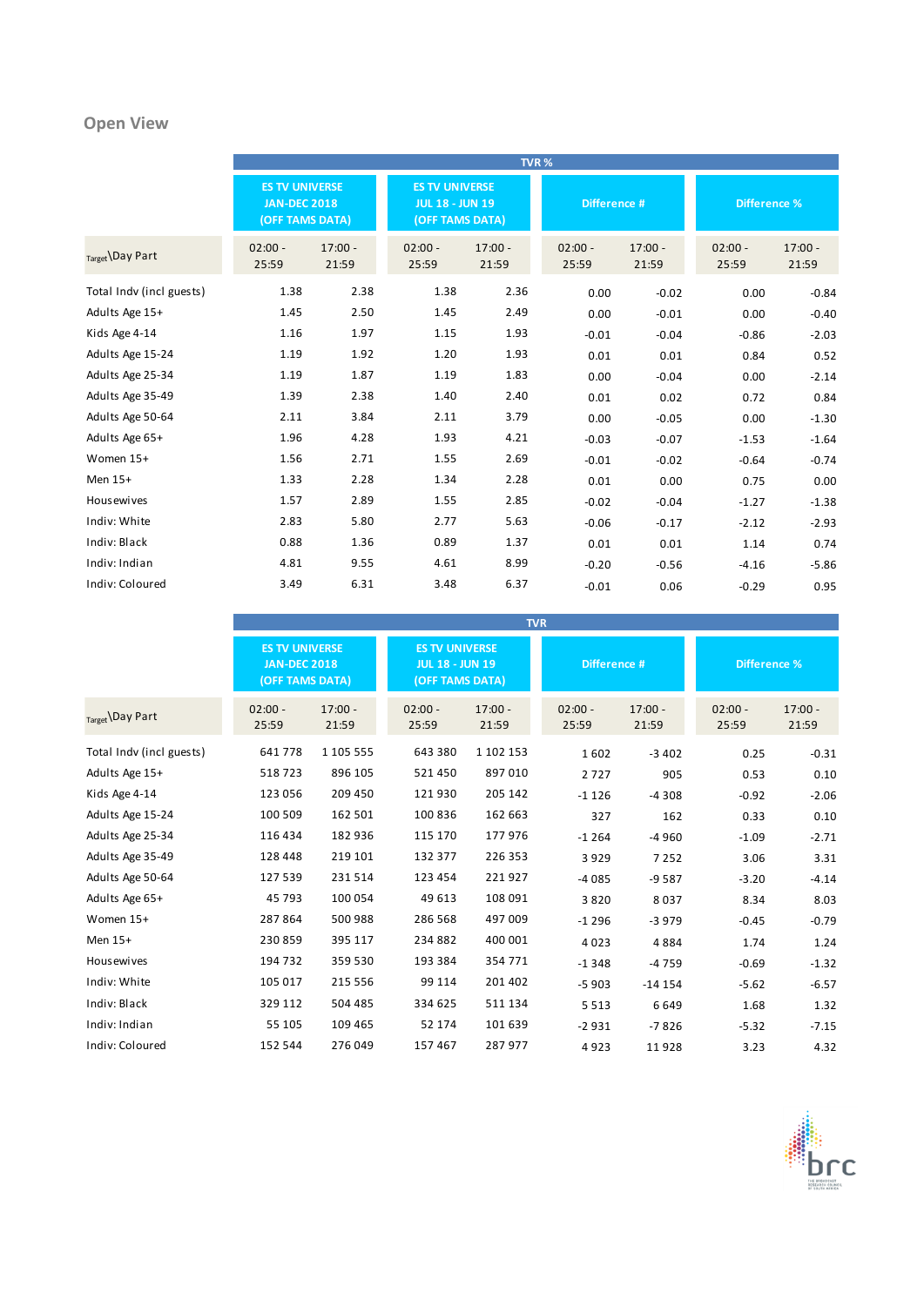## **Open View**

|                          |                                                                        |                    |                                                                    |                    | TVR%               |                    |                     |                    |
|--------------------------|------------------------------------------------------------------------|--------------------|--------------------------------------------------------------------|--------------------|--------------------|--------------------|---------------------|--------------------|
|                          | <b>ES TV UNIVERSE</b><br><b>JAN-DEC 2018</b><br><b>(OFF TAMS DATA)</b> |                    | <b>ES TV UNIVERSE</b><br><b>JUL 18 - JUN 19</b><br>(OFF TAMS DATA) |                    | Difference #       |                    | <b>Difference %</b> |                    |
| Target Day Part          | $02:00 -$<br>25:59                                                     | $17:00 -$<br>21:59 | $02:00 -$<br>25:59                                                 | $17:00 -$<br>21:59 | $02:00 -$<br>25:59 | $17:00 -$<br>21:59 | $02:00 -$<br>25:59  | $17:00 -$<br>21:59 |
| Total Indv (incl guests) | 1.38                                                                   | 2.38               | 1.38                                                               | 2.36               | 0.00               | $-0.02$            | 0.00                | $-0.84$            |
| Adults Age 15+           | 1.45                                                                   | 2.50               | 1.45                                                               | 2.49               | 0.00               | $-0.01$            | 0.00                | $-0.40$            |
| Kids Age 4-14            | 1.16                                                                   | 1.97               | 1.15                                                               | 1.93               | $-0.01$            | $-0.04$            | $-0.86$             | $-2.03$            |
| Adults Age 15-24         | 1.19                                                                   | 1.92               | 1.20                                                               | 1.93               | 0.01               | 0.01               | 0.84                | 0.52               |
| Adults Age 25-34         | 1.19                                                                   | 1.87               | 1.19                                                               | 1.83               | 0.00               | $-0.04$            | 0.00                | $-2.14$            |
| Adults Age 35-49         | 1.39                                                                   | 2.38               | 1.40                                                               | 2.40               | 0.01               | 0.02               | 0.72                | 0.84               |
| Adults Age 50-64         | 2.11                                                                   | 3.84               | 2.11                                                               | 3.79               | 0.00               | $-0.05$            | 0.00                | $-1.30$            |
| Adults Age 65+           | 1.96                                                                   | 4.28               | 1.93                                                               | 4.21               | $-0.03$            | $-0.07$            | $-1.53$             | $-1.64$            |
| Women 15+                | 1.56                                                                   | 2.71               | 1.55                                                               | 2.69               | $-0.01$            | $-0.02$            | $-0.64$             | $-0.74$            |
| Men 15+                  | 1.33                                                                   | 2.28               | 1.34                                                               | 2.28               | 0.01               | 0.00               | 0.75                | 0.00               |
| <b>Housewives</b>        | 1.57                                                                   | 2.89               | 1.55                                                               | 2.85               | $-0.02$            | $-0.04$            | $-1.27$             | $-1.38$            |
| Indiv: White             | 2.83                                                                   | 5.80               | 2.77                                                               | 5.63               | $-0.06$            | $-0.17$            | $-2.12$             | $-2.93$            |
| Indiv: Black             | 0.88                                                                   | 1.36               | 0.89                                                               | 1.37               | 0.01               | 0.01               | 1.14                | 0.74               |
| Indiv: Indian            | 4.81                                                                   | 9.55               | 4.61                                                               | 8.99               | $-0.20$            | $-0.56$            | $-4.16$             | $-5.86$            |
| Indiv: Coloured          | 3.49                                                                   | 6.31               | 3.48                                                               | 6.37               | $-0.01$            | 0.06               | $-0.29$             | 0.95               |

|                          | <b>TVR</b>                                                      |                    |                                                                    |                    |                    |                    |                     |                    |  |
|--------------------------|-----------------------------------------------------------------|--------------------|--------------------------------------------------------------------|--------------------|--------------------|--------------------|---------------------|--------------------|--|
|                          | <b>ES TV UNIVERSE</b><br><b>JAN-DEC 2018</b><br>(OFF TAMS DATA) |                    | <b>ES TV UNIVERSE</b><br><b>JUL 18 - JUN 19</b><br>(OFF TAMS DATA) |                    | Difference #       |                    | <b>Difference %</b> |                    |  |
| Target \Day Part         | $02:00 -$<br>25:59                                              | $17:00 -$<br>21:59 | $02:00 -$<br>25:59                                                 | $17:00 -$<br>21:59 | $02:00 -$<br>25:59 | $17:00 -$<br>21:59 | $02:00 -$<br>25:59  | $17:00 -$<br>21:59 |  |
| Total Indv (incl guests) | 641778                                                          | 1 105 555          | 643 380                                                            | 1 102 153          | 1602               | $-3402$            | 0.25                | $-0.31$            |  |
| Adults Age 15+           | 518723                                                          | 896 105            | 521 450                                                            | 897 010            | 2727               | 905                | 0.53                | 0.10               |  |
| Kids Age 4-14            | 123 056                                                         | 209 450            | 121930                                                             | 205 142            | $-1126$            | $-4308$            | $-0.92$             | $-2.06$            |  |
| Adults Age 15-24         | 100 509                                                         | 162 501            | 100 836                                                            | 162 663            | 327                | 162                | 0.33                | 0.10               |  |
| Adults Age 25-34         | 116 434                                                         | 182 936            | 115 170                                                            | 177976             | $-1264$            | $-4960$            | $-1.09$             | $-2.71$            |  |
| Adults Age 35-49         | 128 448                                                         | 219 101            | 132 377                                                            | 226 353            | 3929               | 7252               | 3.06                | 3.31               |  |
| Adults Age 50-64         | 127 539                                                         | 231 514            | 123 454                                                            | 221927             | $-4085$            | $-9587$            | $-3.20$             | $-4.14$            |  |
| Adults Age 65+           | 45 793                                                          | 100 054            | 49 613                                                             | 108 091            | 3820               | 8037               | 8.34                | 8.03               |  |
| Women 15+                | 287864                                                          | 500 988            | 286 568                                                            | 497 009            | $-1296$            | $-3979$            | $-0.45$             | $-0.79$            |  |
| Men 15+                  | 230 859                                                         | 395 117            | 234 882                                                            | 400 001            | 4023               | 4884               | 1.74                | 1.24               |  |
| Housewives               | 194 732                                                         | 359 530            | 193 384                                                            | 354 771            | $-1348$            | $-4759$            | $-0.69$             | $-1.32$            |  |
| Indiv: White             | 105 017                                                         | 215 556            | 99 114                                                             | 201 402            | $-5903$            | $-14154$           | $-5.62$             | $-6.57$            |  |
| Indiv: Black             | 329 112                                                         | 504 485            | 334 625                                                            | 511 134            | 5 5 1 3            | 6649               | 1.68                | 1.32               |  |
| Indiv: Indian            | 55 105                                                          | 109 465            | 52 174                                                             | 101 639            | $-2931$            | $-7826$            | $-5.32$             | $-7.15$            |  |
| Indiv: Coloured          | 152 544                                                         | 276 049            | 157 467                                                            | 287 977            | 4923               | 11928              | 3.23                | 4.32               |  |